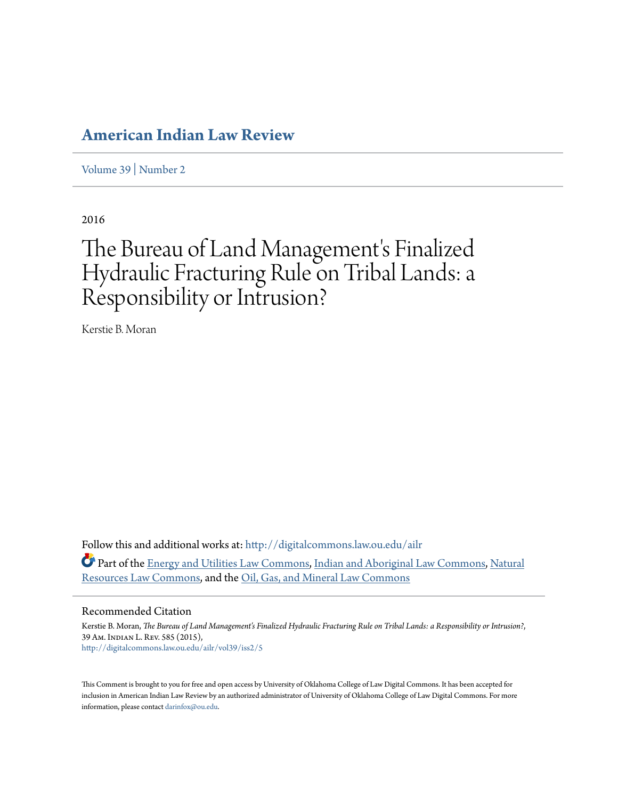## **[American Indian Law Review](http://digitalcommons.law.ou.edu/ailr?utm_source=digitalcommons.law.ou.edu%2Failr%2Fvol39%2Fiss2%2F5&utm_medium=PDF&utm_campaign=PDFCoverPages)**

[Volume 39](http://digitalcommons.law.ou.edu/ailr/vol39?utm_source=digitalcommons.law.ou.edu%2Failr%2Fvol39%2Fiss2%2F5&utm_medium=PDF&utm_campaign=PDFCoverPages) | [Number 2](http://digitalcommons.law.ou.edu/ailr/vol39/iss2?utm_source=digitalcommons.law.ou.edu%2Failr%2Fvol39%2Fiss2%2F5&utm_medium=PDF&utm_campaign=PDFCoverPages)

2016

# The Bureau of Land Management's Finalized Hydraulic Fracturing Rule on Tribal Lands: a Responsibility or Intrusion?

Kerstie B. Moran

Follow this and additional works at: [http://digitalcommons.law.ou.edu/ailr](http://digitalcommons.law.ou.edu/ailr?utm_source=digitalcommons.law.ou.edu%2Failr%2Fvol39%2Fiss2%2F5&utm_medium=PDF&utm_campaign=PDFCoverPages) Part of the [Energy and Utilities Law Commons,](http://network.bepress.com/hgg/discipline/891?utm_source=digitalcommons.law.ou.edu%2Failr%2Fvol39%2Fiss2%2F5&utm_medium=PDF&utm_campaign=PDFCoverPages) [Indian and Aboriginal Law Commons](http://network.bepress.com/hgg/discipline/894?utm_source=digitalcommons.law.ou.edu%2Failr%2Fvol39%2Fiss2%2F5&utm_medium=PDF&utm_campaign=PDFCoverPages), [Natural](http://network.bepress.com/hgg/discipline/863?utm_source=digitalcommons.law.ou.edu%2Failr%2Fvol39%2Fiss2%2F5&utm_medium=PDF&utm_campaign=PDFCoverPages) [Resources Law Commons](http://network.bepress.com/hgg/discipline/863?utm_source=digitalcommons.law.ou.edu%2Failr%2Fvol39%2Fiss2%2F5&utm_medium=PDF&utm_campaign=PDFCoverPages), and the [Oil, Gas, and Mineral Law Commons](http://network.bepress.com/hgg/discipline/864?utm_source=digitalcommons.law.ou.edu%2Failr%2Fvol39%2Fiss2%2F5&utm_medium=PDF&utm_campaign=PDFCoverPages)

#### Recommended Citation

Kerstie B. Moran, *The Bureau of Land Management's Finalized Hydraulic Fracturing Rule on Tribal Lands: a Responsibility or Intrusion?*, 39 Am. Indian L. Rev. 585 (2015), [http://digitalcommons.law.ou.edu/ailr/vol39/iss2/5](http://digitalcommons.law.ou.edu/ailr/vol39/iss2/5?utm_source=digitalcommons.law.ou.edu%2Failr%2Fvol39%2Fiss2%2F5&utm_medium=PDF&utm_campaign=PDFCoverPages)

This Comment is brought to you for free and open access by University of Oklahoma College of Law Digital Commons. It has been accepted for inclusion in American Indian Law Review by an authorized administrator of University of Oklahoma College of Law Digital Commons. For more information, please contact [darinfox@ou.edu.](mailto:darinfox@ou.edu)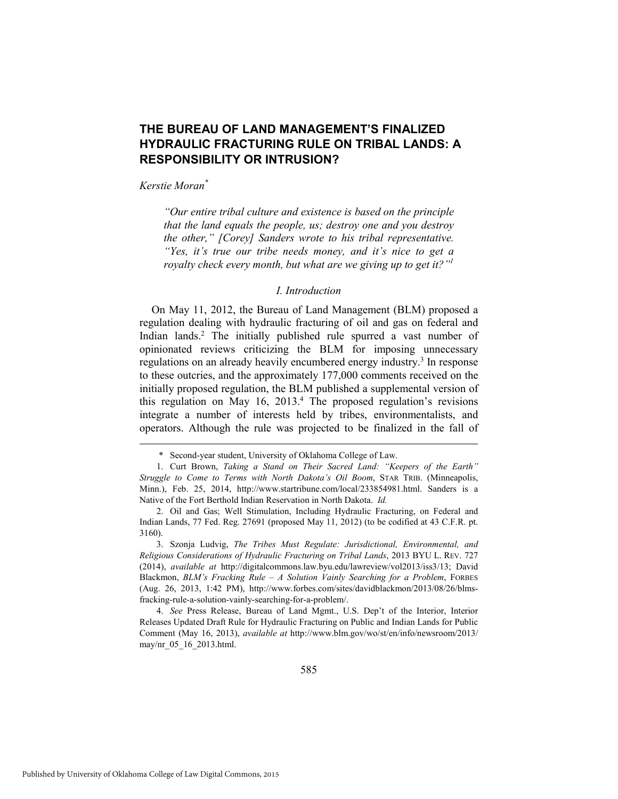### **THE BUREAU OF LAND MANAGEMENT'S FINALIZED HYDRAULIC FRACTURING RULE ON TRIBAL LANDS: A RESPONSIBILITY OR INTRUSION?**

*Kerstie Moran\**

*"Our entire tribal culture and existence is based on the principle that the land equals the people, us; destroy one and you destroy the other," [Corey] Sanders wrote to his tribal representative. "Yes, it's true our tribe needs money, and it's nice to get a royalty check every month, but what are we giving up to get it?"1*

#### *I. Introduction*

On May 11, 2012, the Bureau of Land Management (BLM) proposed a regulation dealing with hydraulic fracturing of oil and gas on federal and Indian lands.<sup>2</sup> The initially published rule spurred a vast number of opinionated reviews criticizing the BLM for imposing unnecessary regulations on an already heavily encumbered energy industry.<sup>3</sup> In response to these outcries, and the approximately 177,000 comments received on the initially proposed regulation, the BLM published a supplemental version of this regulation on May  $16$ ,  $2013<sup>4</sup>$ . The proposed regulation's revisions integrate a number of interests held by tribes, environmentalists, and operators. Although the rule was projected to be finalized in the fall of

 <sup>\*</sup> Second-year student, University of Oklahoma College of Law.

 <sup>1.</sup> Curt Brown, *Taking a Stand on Their Sacred Land: "Keepers of the Earth" Struggle to Come to Terms with North Dakota's Oil Boom*, STAR TRIB. (Minneapolis, Minn.), Feb. 25, 2014, http://www.startribune.com/local/233854981.html. Sanders is a Native of the Fort Berthold Indian Reservation in North Dakota. *Id.* 

 <sup>2.</sup> Oil and Gas; Well Stimulation, Including Hydraulic Fracturing, on Federal and Indian Lands, 77 Fed. Reg. 27691 (proposed May 11, 2012) (to be codified at 43 C.F.R. pt. 3160).

 <sup>3.</sup> Szonja Ludvig, *The Tribes Must Regulate: Jurisdictional, Environmental, and Religious Considerations of Hydraulic Fracturing on Tribal Lands*, 2013 BYU L. REV. 727 (2014), *available at* http://digitalcommons.law.byu.edu/lawreview/vol2013/iss3/13; David Blackmon, *BLM's Fracking Rule – A Solution Vainly Searching for a Problem*, FORBES (Aug. 26, 2013, 1:42 PM), http://www.forbes.com/sites/davidblackmon/2013/08/26/blmsfracking-rule-a-solution-vainly-searching-for-a-problem/.

 <sup>4.</sup> *See* Press Release, Bureau of Land Mgmt., U.S. Dep't of the Interior, Interior Releases Updated Draft Rule for Hydraulic Fracturing on Public and Indian Lands for Public Comment (May 16, 2013), *available at* http://www.blm.gov/wo/st/en/info/newsroom/2013/ may/nr\_05\_16\_2013.html.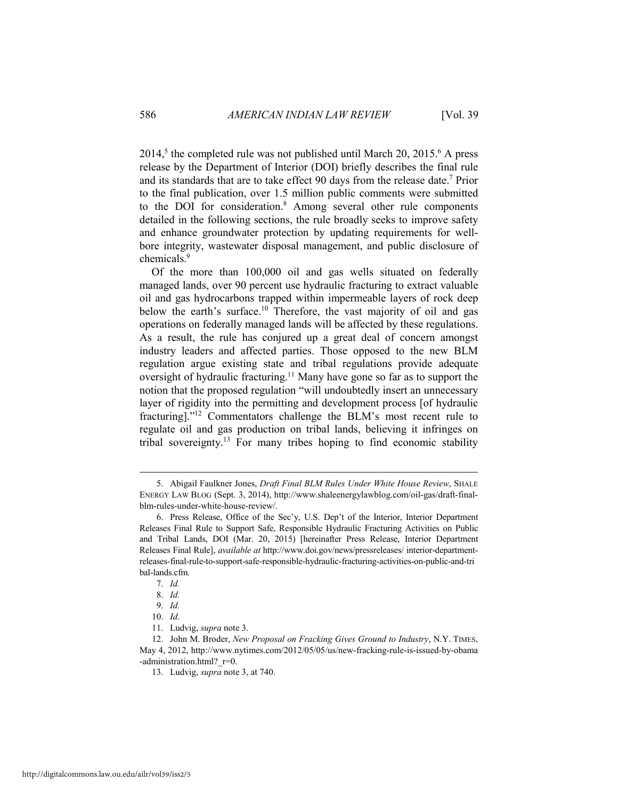$2014<sup>5</sup>$ , the completed rule was not published until March 20, 2015.<sup>6</sup> A press release by the Department of Interior (DOI) briefly describes the final rule and its standards that are to take effect 90 days from the release date.<sup>7</sup> Prior to the final publication, over 1.5 million public comments were submitted to the DOI for consideration.<sup>8</sup> Among several other rule components detailed in the following sections, the rule broadly seeks to improve safety and enhance groundwater protection by updating requirements for wellbore integrity, wastewater disposal management, and public disclosure of chemicals.<sup>9</sup>

Of the more than 100,000 oil and gas wells situated on federally managed lands, over 90 percent use hydraulic fracturing to extract valuable oil and gas hydrocarbons trapped within impermeable layers of rock deep below the earth's surface.<sup>10</sup> Therefore, the vast majority of oil and gas operations on federally managed lands will be affected by these regulations. As a result, the rule has conjured up a great deal of concern amongst industry leaders and affected parties. Those opposed to the new BLM regulation argue existing state and tribal regulations provide adequate oversight of hydraulic fracturing.11 Many have gone so far as to support the notion that the proposed regulation "will undoubtedly insert an unnecessary layer of rigidity into the permitting and development process [of hydraulic fracturing]."12 Commentators challenge the BLM's most recent rule to regulate oil and gas production on tribal lands, believing it infringes on tribal sovereignty.13 For many tribes hoping to find economic stability

 <sup>5.</sup> Abigail Faulkner Jones, *Draft Final BLM Rules Under White House Review*, SHALE ENERGY LAW BLOG (Sept. 3, 2014), http://www.shaleenergylawblog.com/oil-gas/draft-finalblm-rules-under-white-house-review/.

 <sup>6.</sup> Press Release, Office of the Sec'y, U.S. Dep't of the Interior, Interior Department Releases Final Rule to Support Safe, Responsible Hydraulic Fracturing Activities on Public and Tribal Lands, DOI (Mar. 20, 2015) [hereinafter Press Release, Interior Department Releases Final Rule], *available at* http://www.doi.gov/news/pressreleases/ interior-departmentreleases-final-rule-to-support-safe-responsible-hydraulic-fracturing-activities-on-public-and-tri bal-lands.cfm.

 <sup>7.</sup> *Id.*

 <sup>8.</sup> *Id.* 

 <sup>9.</sup> *Id.*

 <sup>10.</sup> *Id*.

 <sup>11.</sup> Ludvig, *supra* note 3.

 <sup>12.</sup> John M. Broder, *New Proposal on Fracking Gives Ground to Industry*, N.Y. TIMES, May 4, 2012, http://www.nytimes.com/2012/05/05/us/new-fracking-rule-is-issued-by-obama -administration.html? r=0.

 <sup>13.</sup> Ludvig, *supra* note 3, at 740.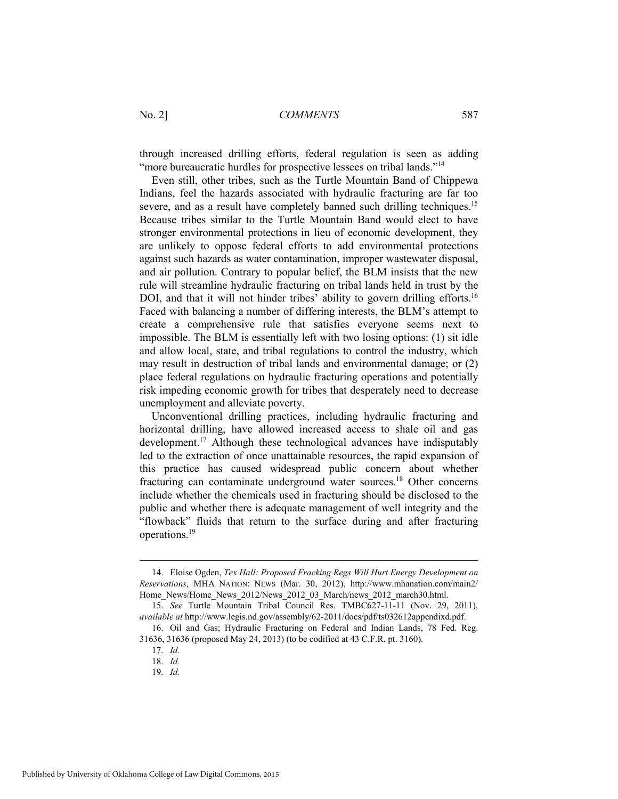through increased drilling efforts, federal regulation is seen as adding "more bureaucratic hurdles for prospective lessees on tribal lands."<sup>14</sup>

Even still, other tribes, such as the Turtle Mountain Band of Chippewa Indians, feel the hazards associated with hydraulic fracturing are far too severe, and as a result have completely banned such drilling techniques.<sup>15</sup> Because tribes similar to the Turtle Mountain Band would elect to have stronger environmental protections in lieu of economic development, they are unlikely to oppose federal efforts to add environmental protections against such hazards as water contamination, improper wastewater disposal, and air pollution. Contrary to popular belief, the BLM insists that the new rule will streamline hydraulic fracturing on tribal lands held in trust by the DOI, and that it will not hinder tribes' ability to govern drilling efforts.<sup>16</sup> Faced with balancing a number of differing interests, the BLM's attempt to create a comprehensive rule that satisfies everyone seems next to impossible. The BLM is essentially left with two losing options: (1) sit idle and allow local, state, and tribal regulations to control the industry, which may result in destruction of tribal lands and environmental damage; or (2) place federal regulations on hydraulic fracturing operations and potentially risk impeding economic growth for tribes that desperately need to decrease unemployment and alleviate poverty.

Unconventional drilling practices, including hydraulic fracturing and horizontal drilling, have allowed increased access to shale oil and gas development.17 Although these technological advances have indisputably led to the extraction of once unattainable resources, the rapid expansion of this practice has caused widespread public concern about whether fracturing can contaminate underground water sources.18 Other concerns include whether the chemicals used in fracturing should be disclosed to the public and whether there is adequate management of well integrity and the "flowback" fluids that return to the surface during and after fracturing operations.19

 <sup>14.</sup> Eloise Ogden, *Tex Hall: Proposed Fracking Regs Will Hurt Energy Development on Reservations*, MHA NATION: NEWS (Mar. 30, 2012), http://www.mhanation.com/main2/ Home News/Home News 2012/News 2012 03 March/news 2012 march30.html.

 <sup>15.</sup> *See* Turtle Mountain Tribal Council Res. TMBC627-11-11 (Nov. 29, 2011), *available at* http://www.legis.nd.gov/assembly/62-2011/docs/pdf/ts032612appendixd.pdf.

 <sup>16.</sup> Oil and Gas; Hydraulic Fracturing on Federal and Indian Lands, 78 Fed. Reg. 31636, 31636 (proposed May 24, 2013) (to be codified at 43 C.F.R. pt. 3160).

 <sup>17.</sup> *Id.*

 <sup>18.</sup> *Id.*

 <sup>19.</sup> *Id.*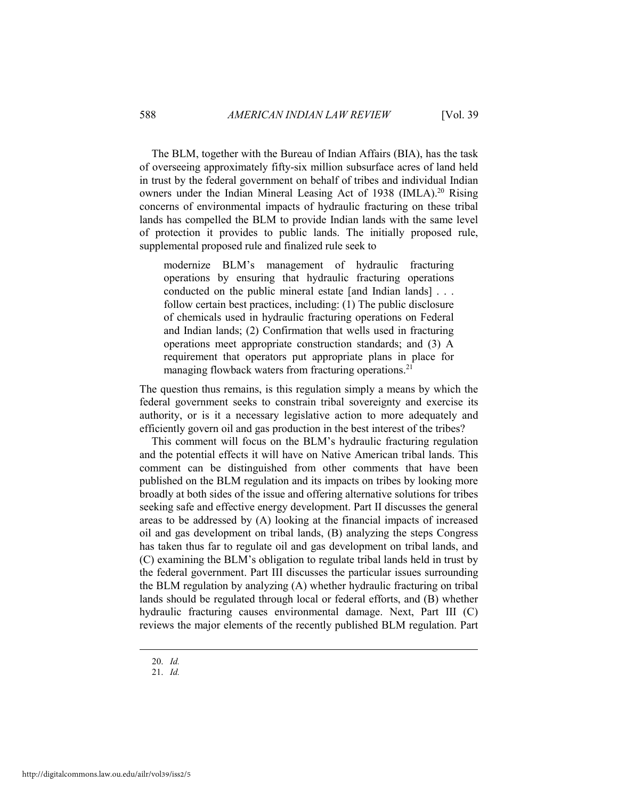The BLM, together with the Bureau of Indian Affairs (BIA), has the task of overseeing approximately fifty-six million subsurface acres of land held in trust by the federal government on behalf of tribes and individual Indian owners under the Indian Mineral Leasing Act of 1938 (IMLA).<sup>20</sup> Rising concerns of environmental impacts of hydraulic fracturing on these tribal lands has compelled the BLM to provide Indian lands with the same level of protection it provides to public lands. The initially proposed rule, supplemental proposed rule and finalized rule seek to

modernize BLM's management of hydraulic fracturing operations by ensuring that hydraulic fracturing operations conducted on the public mineral estate [and Indian lands] . . . follow certain best practices, including: (1) The public disclosure of chemicals used in hydraulic fracturing operations on Federal and Indian lands; (2) Confirmation that wells used in fracturing operations meet appropriate construction standards; and (3) A requirement that operators put appropriate plans in place for managing flowback waters from fracturing operations.<sup>21</sup>

The question thus remains, is this regulation simply a means by which the federal government seeks to constrain tribal sovereignty and exercise its authority, or is it a necessary legislative action to more adequately and efficiently govern oil and gas production in the best interest of the tribes?

This comment will focus on the BLM's hydraulic fracturing regulation and the potential effects it will have on Native American tribal lands. This comment can be distinguished from other comments that have been published on the BLM regulation and its impacts on tribes by looking more broadly at both sides of the issue and offering alternative solutions for tribes seeking safe and effective energy development. Part II discusses the general areas to be addressed by (A) looking at the financial impacts of increased oil and gas development on tribal lands, (B) analyzing the steps Congress has taken thus far to regulate oil and gas development on tribal lands, and (C) examining the BLM's obligation to regulate tribal lands held in trust by the federal government. Part III discusses the particular issues surrounding the BLM regulation by analyzing (A) whether hydraulic fracturing on tribal lands should be regulated through local or federal efforts, and (B) whether hydraulic fracturing causes environmental damage. Next, Part III (C) reviews the major elements of the recently published BLM regulation. Part

 <sup>20.</sup> *Id.*

 <sup>21.</sup> *Id.*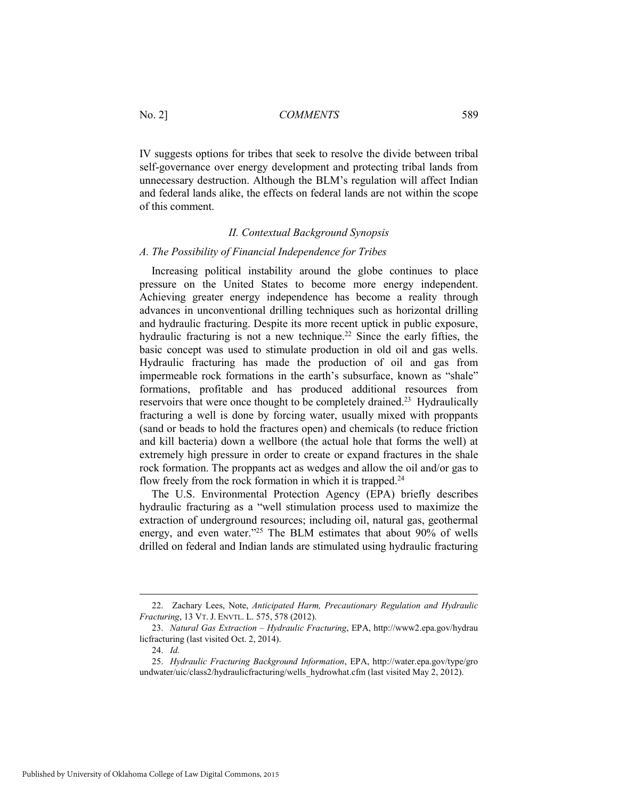IV suggests options for tribes that seek to resolve the divide between tribal self-governance over energy development and protecting tribal lands from unnecessary destruction. Although the BLM's regulation will affect Indian and federal lands alike, the effects on federal lands are not within the scope of this comment.

#### *II. Contextual Background Synopsis*

#### *A. The Possibility of Financial Independence for Tribes*

Increasing political instability around the globe continues to place pressure on the United States to become more energy independent. Achieving greater energy independence has become a reality through advances in unconventional drilling techniques such as horizontal drilling and hydraulic fracturing. Despite its more recent uptick in public exposure, hydraulic fracturing is not a new technique.<sup>22</sup> Since the early fifties, the basic concept was used to stimulate production in old oil and gas wells. Hydraulic fracturing has made the production of oil and gas from impermeable rock formations in the earth's subsurface, known as "shale" formations, profitable and has produced additional resources from reservoirs that were once thought to be completely drained.<sup>23</sup> Hydraulically fracturing a well is done by forcing water, usually mixed with proppants (sand or beads to hold the fractures open) and chemicals (to reduce friction and kill bacteria) down a wellbore (the actual hole that forms the well) at extremely high pressure in order to create or expand fractures in the shale rock formation. The proppants act as wedges and allow the oil and/or gas to flow freely from the rock formation in which it is trapped. $24$ 

The U.S. Environmental Protection Agency (EPA) briefly describes hydraulic fracturing as a "well stimulation process used to maximize the extraction of underground resources; including oil, natural gas, geothermal energy, and even water."<sup>25</sup> The BLM estimates that about 90% of wells drilled on federal and Indian lands are stimulated using hydraulic fracturing

 <sup>22.</sup> Zachary Lees, Note, *Anticipated Harm, Precautionary Regulation and Hydraulic Fracturing*, 13 VT. J. ENVTL. L. 575, 578 (2012).

 <sup>23.</sup> *Natural Gas Extraction – Hydraulic Fracturing*, EPA, http://www2.epa.gov/hydrau licfracturing (last visited Oct. 2, 2014).

 <sup>24.</sup> *Id.*

 <sup>25.</sup> *Hydraulic Fracturing Background Information*, EPA, http://water.epa.gov/type/gro undwater/uic/class2/hydraulicfracturing/wells\_hydrowhat.cfm (last visited May 2, 2012).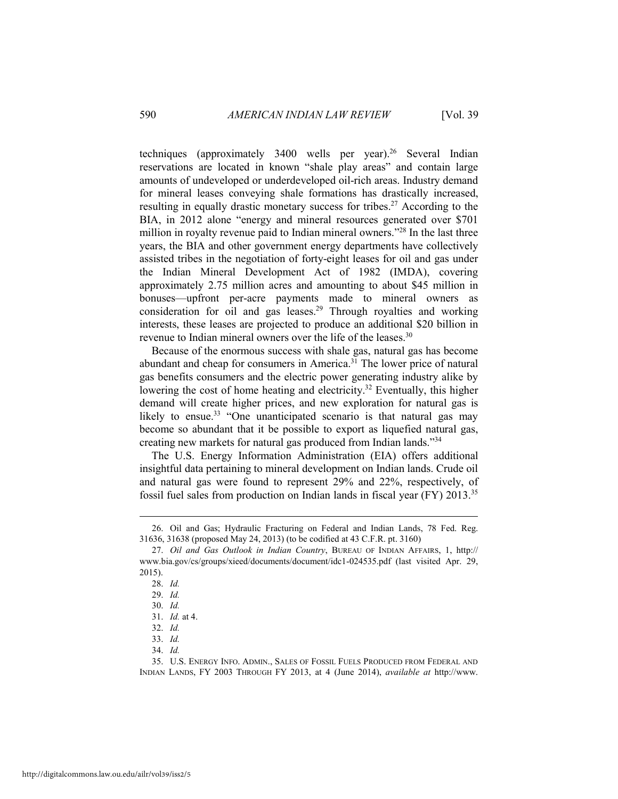techniques (approximately 3400 wells per year).<sup>26</sup> Several Indian reservations are located in known "shale play areas" and contain large amounts of undeveloped or underdeveloped oil-rich areas. Industry demand for mineral leases conveying shale formations has drastically increased, resulting in equally drastic monetary success for tribes.<sup>27</sup> According to the BIA, in 2012 alone "energy and mineral resources generated over \$701 million in royalty revenue paid to Indian mineral owners."28 In the last three years, the BIA and other government energy departments have collectively assisted tribes in the negotiation of forty-eight leases for oil and gas under the Indian Mineral Development Act of 1982 (IMDA), covering approximately 2.75 million acres and amounting to about \$45 million in bonuses—upfront per-acre payments made to mineral owners as consideration for oil and gas leases.<sup>29</sup> Through royalties and working interests, these leases are projected to produce an additional \$20 billion in revenue to Indian mineral owners over the life of the leases.<sup>30</sup>

Because of the enormous success with shale gas, natural gas has become abundant and cheap for consumers in America.<sup>31</sup> The lower price of natural gas benefits consumers and the electric power generating industry alike by lowering the cost of home heating and electricity.<sup>32</sup> Eventually, this higher demand will create higher prices, and new exploration for natural gas is likely to ensue.<sup>33</sup> "One unanticipated scenario is that natural gas may become so abundant that it be possible to export as liquefied natural gas, creating new markets for natural gas produced from Indian lands."34

The U.S. Energy Information Administration (EIA) offers additional insightful data pertaining to mineral development on Indian lands. Crude oil and natural gas were found to represent 29% and 22%, respectively, of fossil fuel sales from production on Indian lands in fiscal year (FY) 2013.35

 <sup>26.</sup> Oil and Gas; Hydraulic Fracturing on Federal and Indian Lands, 78 Fed. Reg. 31636, 31638 (proposed May 24, 2013) (to be codified at 43 C.F.R. pt. 3160)

 <sup>27.</sup> *Oil and Gas Outlook in Indian Country*, BUREAU OF INDIAN AFFAIRS, 1, http:// www.bia.gov/cs/groups/xieed/documents/document/idc1-024535.pdf (last visited Apr. 29, 2015).

 <sup>28.</sup> *Id.*

 <sup>29.</sup> *Id.*

 <sup>30.</sup> *Id.*

 <sup>31.</sup> *Id.* at 4.

 <sup>32.</sup> *Id.*

 <sup>33.</sup> *Id.*

 <sup>34.</sup> *Id.*

 <sup>35.</sup> U.S. ENERGY INFO. ADMIN., SALES OF FOSSIL FUELS PRODUCED FROM FEDERAL AND INDIAN LANDS, FY 2003 THROUGH FY 2013, at 4 (June 2014), *available at* http://www.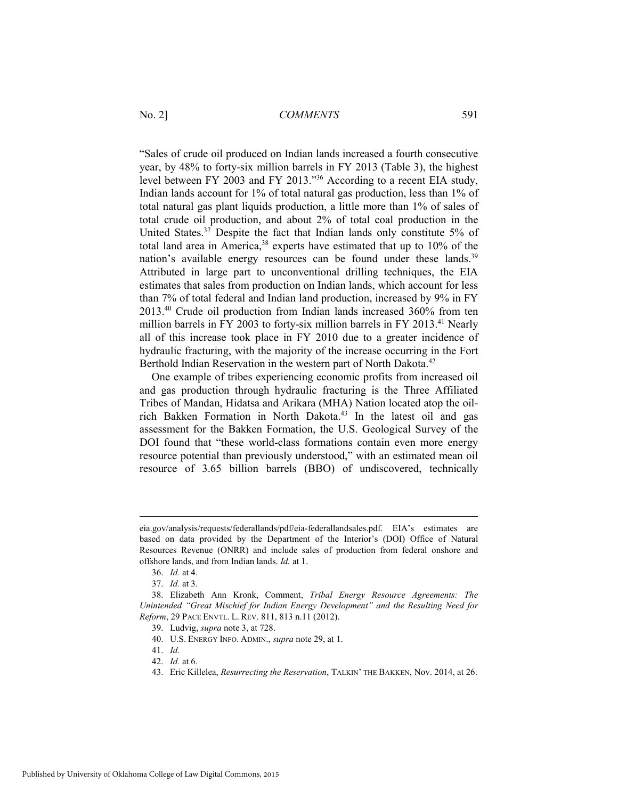"Sales of crude oil produced on Indian lands increased a fourth consecutive year, by 48% to forty-six million barrels in FY 2013 (Table 3), the highest level between FY 2003 and FY 2013."36 According to a recent EIA study, Indian lands account for 1% of total natural gas production, less than 1% of total natural gas plant liquids production, a little more than 1% of sales of total crude oil production, and about 2% of total coal production in the United States.37 Despite the fact that Indian lands only constitute 5% of total land area in America,<sup>38</sup> experts have estimated that up to 10% of the nation's available energy resources can be found under these lands.<sup>39</sup> Attributed in large part to unconventional drilling techniques, the EIA estimates that sales from production on Indian lands, which account for less than 7% of total federal and Indian land production, increased by 9% in FY 2013.40 Crude oil production from Indian lands increased 360% from ten million barrels in FY 2003 to forty-six million barrels in FY 2013.<sup>41</sup> Nearly all of this increase took place in FY 2010 due to a greater incidence of hydraulic fracturing, with the majority of the increase occurring in the Fort Berthold Indian Reservation in the western part of North Dakota.<sup>42</sup>

One example of tribes experiencing economic profits from increased oil and gas production through hydraulic fracturing is the Three Affiliated Tribes of Mandan, Hidatsa and Arikara (MHA) Nation located atop the oilrich Bakken Formation in North Dakota.43 In the latest oil and gas assessment for the Bakken Formation, the U.S. Geological Survey of the DOI found that "these world-class formations contain even more energy resource potential than previously understood," with an estimated mean oil resource of 3.65 billion barrels (BBO) of undiscovered, technically

eia.gov/analysis/requests/federallands/pdf/eia-federallandsales.pdf. EIA's estimates are based on data provided by the Department of the Interior's (DOI) Office of Natural Resources Revenue (ONRR) and include sales of production from federal onshore and offshore lands, and from Indian lands. *Id.* at 1.

 <sup>36.</sup> *Id.* at 4.

 <sup>37.</sup> *Id.* at 3.

 <sup>38.</sup> Elizabeth Ann Kronk, Comment, *Tribal Energy Resource Agreements: The Unintended "Great Mischief for Indian Energy Development" and the Resulting Need for Reform*, 29 PACE ENVTL. L. REV. 811, 813 n.11 (2012).

 <sup>39.</sup> Ludvig, *supra* note 3, at 728.

 <sup>40.</sup> U.S. ENERGY INFO. ADMIN., *supra* note 29, at 1.

 <sup>41.</sup> *Id.*

 <sup>42.</sup> *Id.* at 6.

 <sup>43.</sup> Eric Killelea, *Resurrecting the Reservation*, TALKIN' THE BAKKEN, Nov. 2014, at 26.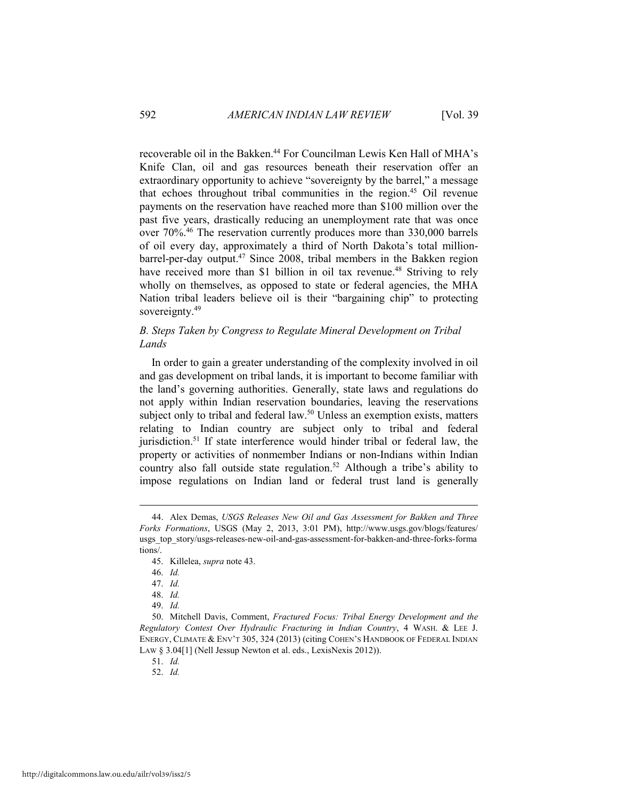recoverable oil in the Bakken.<sup>44</sup> For Councilman Lewis Ken Hall of MHA's Knife Clan, oil and gas resources beneath their reservation offer an extraordinary opportunity to achieve "sovereignty by the barrel," a message that echoes throughout tribal communities in the region.45 Oil revenue payments on the reservation have reached more than \$100 million over the past five years, drastically reducing an unemployment rate that was once over 70%.46 The reservation currently produces more than 330,000 barrels of oil every day, approximately a third of North Dakota's total millionbarrel-per-day output.47 Since 2008, tribal members in the Bakken region have received more than \$1 billion in oil tax revenue.<sup>48</sup> Striving to rely wholly on themselves, as opposed to state or federal agencies, the MHA Nation tribal leaders believe oil is their "bargaining chip" to protecting sovereignty.<sup>49</sup>

#### *B. Steps Taken by Congress to Regulate Mineral Development on Tribal Lands*

In order to gain a greater understanding of the complexity involved in oil and gas development on tribal lands, it is important to become familiar with the land's governing authorities. Generally, state laws and regulations do not apply within Indian reservation boundaries, leaving the reservations subject only to tribal and federal law.<sup>50</sup> Unless an exemption exists, matters relating to Indian country are subject only to tribal and federal jurisdiction.<sup>51</sup> If state interference would hinder tribal or federal law, the property or activities of nonmember Indians or non-Indians within Indian country also fall outside state regulation.<sup>52</sup> Although a tribe's ability to impose regulations on Indian land or federal trust land is generally

 $\overline{a}$ 

51. *Id.* 

 <sup>44.</sup> Alex Demas, *USGS Releases New Oil and Gas Assessment for Bakken and Three Forks Formations*, USGS (May 2, 2013, 3:01 PM), http://www.usgs.gov/blogs/features/ usgs top story/usgs-releases-new-oil-and-gas-assessment-for-bakken-and-three-forks-forma tions/.

 <sup>45.</sup> Killelea, *supra* note 43.

 <sup>46.</sup> *Id.*

 <sup>47.</sup> *Id.*

 <sup>48.</sup> *Id.*

 <sup>49.</sup> *Id.*

 <sup>50.</sup> Mitchell Davis, Comment, *Fractured Focus: Tribal Energy Development and the Regulatory Contest Over Hydraulic Fracturing in Indian Country*, 4 WASH. & LEE J. ENERGY, CLIMATE & ENV'T 305, 324 (2013) (citing COHEN'S HANDBOOK OF FEDERAL INDIAN LAW § 3.04[1] (Nell Jessup Newton et al. eds., LexisNexis 2012)).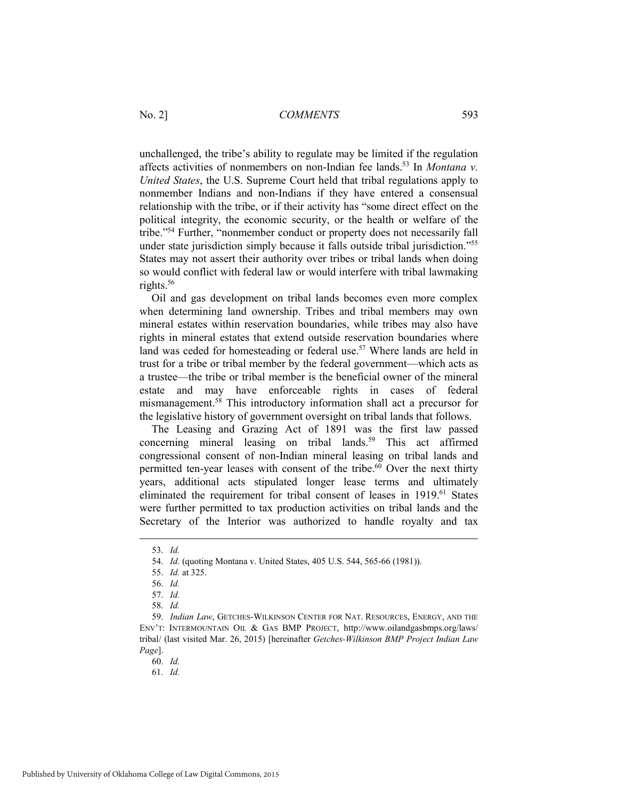unchallenged, the tribe's ability to regulate may be limited if the regulation affects activities of nonmembers on non-Indian fee lands.53 In *Montana v. United States*, the U.S. Supreme Court held that tribal regulations apply to nonmember Indians and non-Indians if they have entered a consensual relationship with the tribe, or if their activity has "some direct effect on the political integrity, the economic security, or the health or welfare of the tribe."54 Further, "nonmember conduct or property does not necessarily fall under state jurisdiction simply because it falls outside tribal jurisdiction."55 States may not assert their authority over tribes or tribal lands when doing so would conflict with federal law or would interfere with tribal lawmaking rights.<sup>56</sup>

Oil and gas development on tribal lands becomes even more complex when determining land ownership. Tribes and tribal members may own mineral estates within reservation boundaries, while tribes may also have rights in mineral estates that extend outside reservation boundaries where land was ceded for homesteading or federal use.<sup>57</sup> Where lands are held in trust for a tribe or tribal member by the federal government—which acts as a trustee—the tribe or tribal member is the beneficial owner of the mineral estate and may have enforceable rights in cases of federal mismanagement.58 This introductory information shall act a precursor for the legislative history of government oversight on tribal lands that follows.

The Leasing and Grazing Act of 1891 was the first law passed concerning mineral leasing on tribal lands.<sup>59</sup> This act affirmed congressional consent of non-Indian mineral leasing on tribal lands and permitted ten-year leases with consent of the tribe.<sup>60</sup> Over the next thirty years, additional acts stipulated longer lease terms and ultimately eliminated the requirement for tribal consent of leases in 1919.<sup>61</sup> States were further permitted to tax production activities on tribal lands and the Secretary of the Interior was authorized to handle royalty and tax

 <sup>53.</sup> *Id.*

 <sup>54.</sup> *Id.* (quoting Montana v. United States, 405 U.S. 544, 565-66 (1981)).

 <sup>55.</sup> *Id.* at 325.

 <sup>56.</sup> *Id.*

 <sup>57.</sup> *Id.*

 <sup>58.</sup> *Id.*

 <sup>59.</sup> *Indian Law*, GETCHES-WILKINSON CENTER FOR NAT. RESOURCES, ENERGY, AND THE ENV'T: INTERMOUNTAIN OIL & GAS BMP PROJECT, http://www.oilandgasbmps.org/laws/ tribal/ (last visited Mar. 26, 2015) [hereinafter *Getches-Wilkinson BMP Project Indian Law Page*].

 <sup>60.</sup> *Id.*

 <sup>61.</sup> *Id.*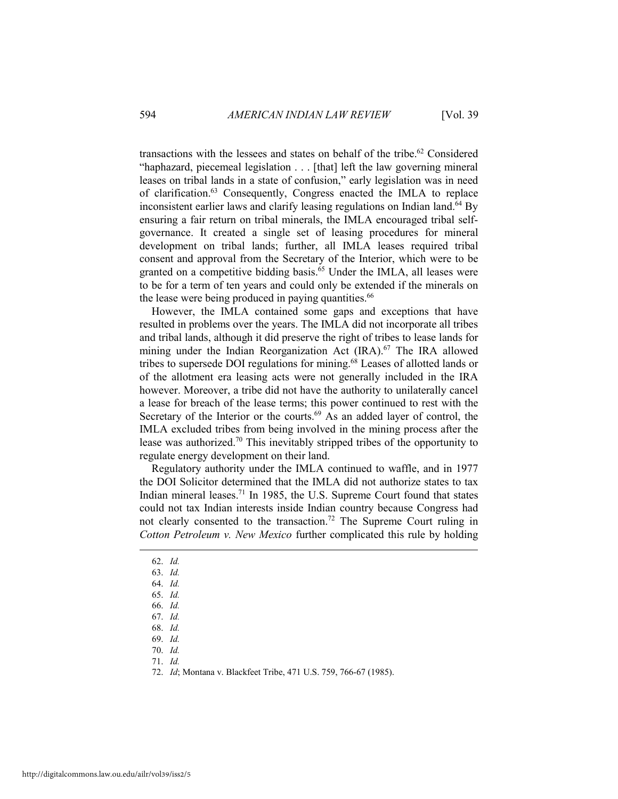transactions with the lessees and states on behalf of the tribe.<sup>62</sup> Considered "haphazard, piecemeal legislation . . . [that] left the law governing mineral leases on tribal lands in a state of confusion," early legislation was in need of clarification.63 Consequently, Congress enacted the IMLA to replace inconsistent earlier laws and clarify leasing regulations on Indian land.<sup>64</sup> By ensuring a fair return on tribal minerals, the IMLA encouraged tribal selfgovernance. It created a single set of leasing procedures for mineral development on tribal lands; further, all IMLA leases required tribal consent and approval from the Secretary of the Interior, which were to be granted on a competitive bidding basis.<sup>65</sup> Under the IMLA, all leases were to be for a term of ten years and could only be extended if the minerals on the lease were being produced in paying quantities.<sup>66</sup>

However, the IMLA contained some gaps and exceptions that have resulted in problems over the years. The IMLA did not incorporate all tribes and tribal lands, although it did preserve the right of tribes to lease lands for mining under the Indian Reorganization Act (IRA).<sup>67</sup> The IRA allowed tribes to supersede DOI regulations for mining.68 Leases of allotted lands or of the allotment era leasing acts were not generally included in the IRA however. Moreover, a tribe did not have the authority to unilaterally cancel a lease for breach of the lease terms; this power continued to rest with the Secretary of the Interior or the courts.<sup>69</sup> As an added layer of control, the IMLA excluded tribes from being involved in the mining process after the lease was authorized.70 This inevitably stripped tribes of the opportunity to regulate energy development on their land.

Regulatory authority under the IMLA continued to waffle, and in 1977 the DOI Solicitor determined that the IMLA did not authorize states to tax Indian mineral leases.71 In 1985, the U.S. Supreme Court found that states could not tax Indian interests inside Indian country because Congress had not clearly consented to the transaction.72 The Supreme Court ruling in *Cotton Petroleum v. New Mexico* further complicated this rule by holding

62. *Id.*

 $\overline{a}$ 

- 63. *Id.*
- 64. *Id.*
- 65. *Id.*
- 66. *Id.*
- 67. *Id.*
- 68. *Id.*

69. *Id.*

70. *Id.*

 <sup>72.</sup> *Id*; Montana v. Blackfeet Tribe, 471 U.S. 759, 766-67 (1985).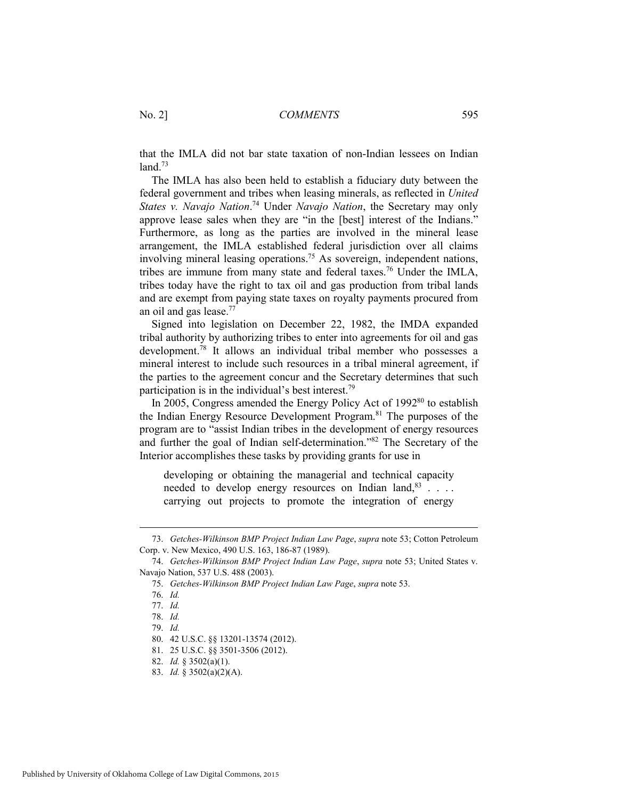that the IMLA did not bar state taxation of non-Indian lessees on Indian  $land.<sup>73</sup>$ 

The IMLA has also been held to establish a fiduciary duty between the federal government and tribes when leasing minerals, as reflected in *United States v. Navajo Nation*. 74 Under *Navajo Nation*, the Secretary may only approve lease sales when they are "in the [best] interest of the Indians." Furthermore, as long as the parties are involved in the mineral lease arrangement, the IMLA established federal jurisdiction over all claims involving mineral leasing operations.<sup>75</sup> As sovereign, independent nations, tribes are immune from many state and federal taxes.76 Under the IMLA, tribes today have the right to tax oil and gas production from tribal lands and are exempt from paying state taxes on royalty payments procured from an oil and gas lease.<sup>77</sup>

Signed into legislation on December 22, 1982, the IMDA expanded tribal authority by authorizing tribes to enter into agreements for oil and gas development.<sup>78</sup> It allows an individual tribal member who possesses a mineral interest to include such resources in a tribal mineral agreement, if the parties to the agreement concur and the Secretary determines that such participation is in the individual's best interest.79

In 2005, Congress amended the Energy Policy Act of  $1992<sup>80</sup>$  to establish the Indian Energy Resource Development Program.<sup>81</sup> The purposes of the program are to "assist Indian tribes in the development of energy resources and further the goal of Indian self-determination."82 The Secretary of the Interior accomplishes these tasks by providing grants for use in

developing or obtaining the managerial and technical capacity needed to develop energy resources on Indian land,  $83$ .... carrying out projects to promote the integration of energy

 <sup>73.</sup> *Getches-Wilkinson BMP Project Indian Law Page*, *supra* note 53; Cotton Petroleum Corp. v. New Mexico, 490 U.S. 163, 186-87 (1989).

 <sup>74.</sup> *Getches-Wilkinson BMP Project Indian Law Page*, *supra* note 53; United States v. Navajo Nation, 537 U.S. 488 (2003).

 <sup>75.</sup> *Getches-Wilkinson BMP Project Indian Law Page*, *supra* note 53.

 <sup>76.</sup> *Id.*

 <sup>77.</sup> *Id.*

 <sup>78.</sup> *Id.*

 <sup>79.</sup> *Id.*

 <sup>80. 42</sup> U.S.C. §§ 13201-13574 (2012).

 <sup>81. 25</sup> U.S.C. §§ 3501-3506 (2012).

 <sup>82.</sup> *Id.* § 3502(a)(1).

 <sup>83.</sup> *Id.* § 3502(a)(2)(A).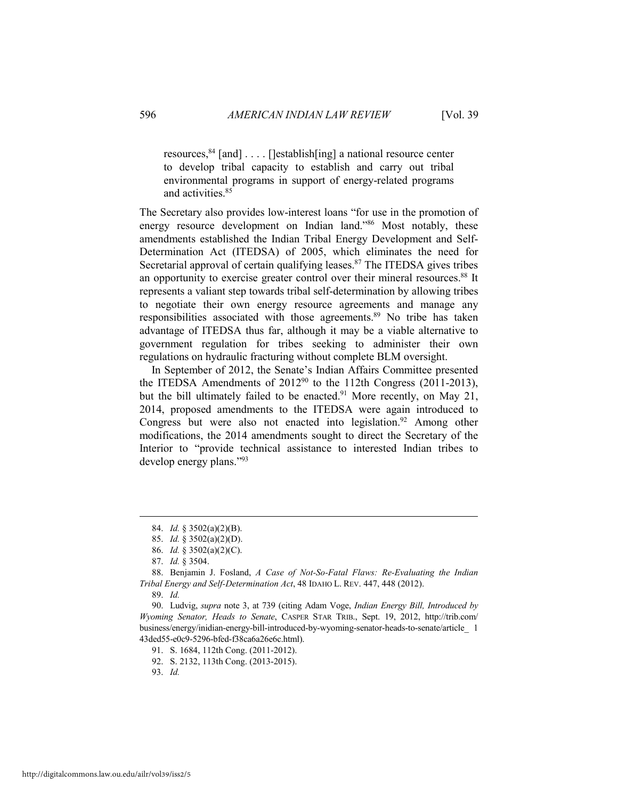resources,  $84$  [and] . . . . [lestablish[ing] a national resource center to develop tribal capacity to establish and carry out tribal environmental programs in support of energy-related programs and activities.<sup>85</sup>

The Secretary also provides low-interest loans "for use in the promotion of energy resource development on Indian land."86 Most notably, these amendments established the Indian Tribal Energy Development and Self-Determination Act (ITEDSA) of 2005, which eliminates the need for Secretarial approval of certain qualifying leases. $87$  The ITEDSA gives tribes an opportunity to exercise greater control over their mineral resources.<sup>88</sup> It represents a valiant step towards tribal self-determination by allowing tribes to negotiate their own energy resource agreements and manage any responsibilities associated with those agreements.<sup>89</sup> No tribe has taken advantage of ITEDSA thus far, although it may be a viable alternative to government regulation for tribes seeking to administer their own regulations on hydraulic fracturing without complete BLM oversight.

In September of 2012, the Senate's Indian Affairs Committee presented the ITEDSA Amendments of 2012<sup>90</sup> to the 112th Congress (2011-2013), but the bill ultimately failed to be enacted.<sup>91</sup> More recently, on May 21, 2014, proposed amendments to the ITEDSA were again introduced to Congress but were also not enacted into legislation.<sup>92</sup> Among other modifications, the 2014 amendments sought to direct the Secretary of the Interior to "provide technical assistance to interested Indian tribes to develop energy plans."93

89. *Id.*

 $\overline{a}$ 

 90. Ludvig, *supra* note 3, at 739 (citing Adam Voge, *Indian Energy Bill, Introduced by Wyoming Senator, Heads to Senate*, CASPER STAR TRIB., Sept. 19, 2012, http://trib.com/ business/energy/inidian-energy-bill-introduced-by-wyoming-senator-heads-to-senate/article\_ 1 43ded55-e0c9-5296-bfed-f38ca6a26e6c.html).

91. S. 1684, 112th Cong. (2011-2012).

92. S. 2132, 113th Cong. (2013-2015).

 <sup>84.</sup> *Id.* § 3502(a)(2)(B).

 <sup>85.</sup> *Id.* § 3502(a)(2)(D).

 <sup>86.</sup> *Id.* § 3502(a)(2)(C).

 <sup>87.</sup> *Id.* § 3504.

 <sup>88.</sup> Benjamin J. Fosland, *A Case of Not-So-Fatal Flaws: Re-Evaluating the Indian Tribal Energy and Self-Determination Act*, 48 IDAHO L. REV. 447, 448 (2012).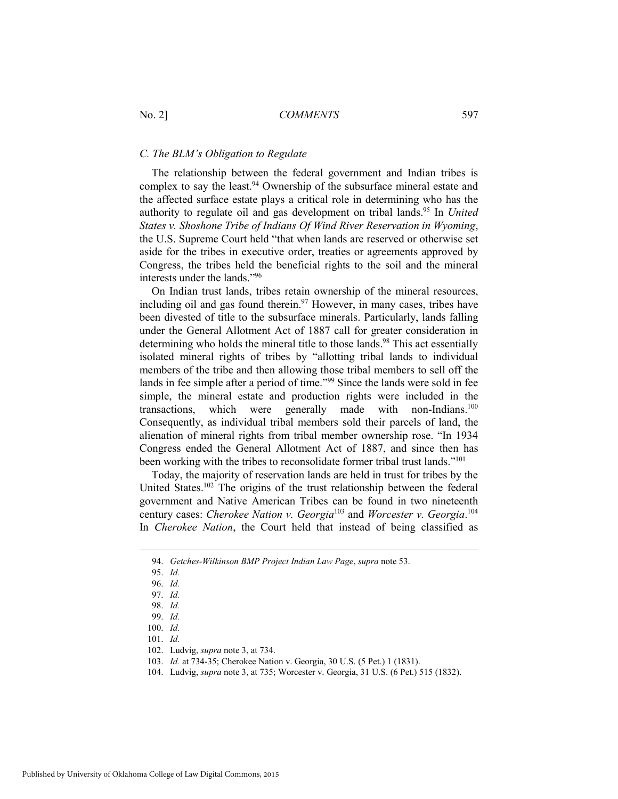#### *C. The BLM's Obligation to Regulate*

The relationship between the federal government and Indian tribes is complex to say the least.<sup>94</sup> Ownership of the subsurface mineral estate and the affected surface estate plays a critical role in determining who has the authority to regulate oil and gas development on tribal lands.<sup>95</sup> In *United States v. Shoshone Tribe of Indians Of Wind River Reservation in Wyoming*, the U.S. Supreme Court held "that when lands are reserved or otherwise set aside for the tribes in executive order, treaties or agreements approved by Congress, the tribes held the beneficial rights to the soil and the mineral interests under the lands."96

On Indian trust lands, tribes retain ownership of the mineral resources, including oil and gas found therein.<sup>97</sup> However, in many cases, tribes have been divested of title to the subsurface minerals. Particularly, lands falling under the General Allotment Act of 1887 call for greater consideration in determining who holds the mineral title to those lands.<sup>98</sup> This act essentially isolated mineral rights of tribes by "allotting tribal lands to individual members of the tribe and then allowing those tribal members to sell off the lands in fee simple after a period of time."99 Since the lands were sold in fee simple, the mineral estate and production rights were included in the transactions, which were generally made with non-Indians.<sup>100</sup> Consequently, as individual tribal members sold their parcels of land, the alienation of mineral rights from tribal member ownership rose. "In 1934 Congress ended the General Allotment Act of 1887, and since then has been working with the tribes to reconsolidate former tribal trust lands."<sup>101</sup>

Today, the majority of reservation lands are held in trust for tribes by the United States.<sup>102</sup> The origins of the trust relationship between the federal government and Native American Tribes can be found in two nineteenth century cases: *Cherokee Nation v. Georgia*103 and *Worcester v. Georgia*. 104 In *Cherokee Nation*, the Court held that instead of being classified as

 <sup>94.</sup> *Getches-Wilkinson BMP Project Indian Law Page*, *supra* note 53.

 <sup>95.</sup> *Id.*

 <sup>96.</sup> *Id.*

 <sup>97.</sup> *Id.*

 <sup>98.</sup> *Id.*

 <sup>99.</sup> *Id.*

 <sup>100.</sup> *Id.*

 <sup>101.</sup> *Id.*

 <sup>102.</sup> Ludvig, *supra* note 3, at 734.

 <sup>103.</sup> *Id.* at 734-35; Cherokee Nation v. Georgia, 30 U.S. (5 Pet.) 1 (1831).

 <sup>104.</sup> Ludvig, *supra* note 3, at 735; Worcester v. Georgia, 31 U.S. (6 Pet.) 515 (1832).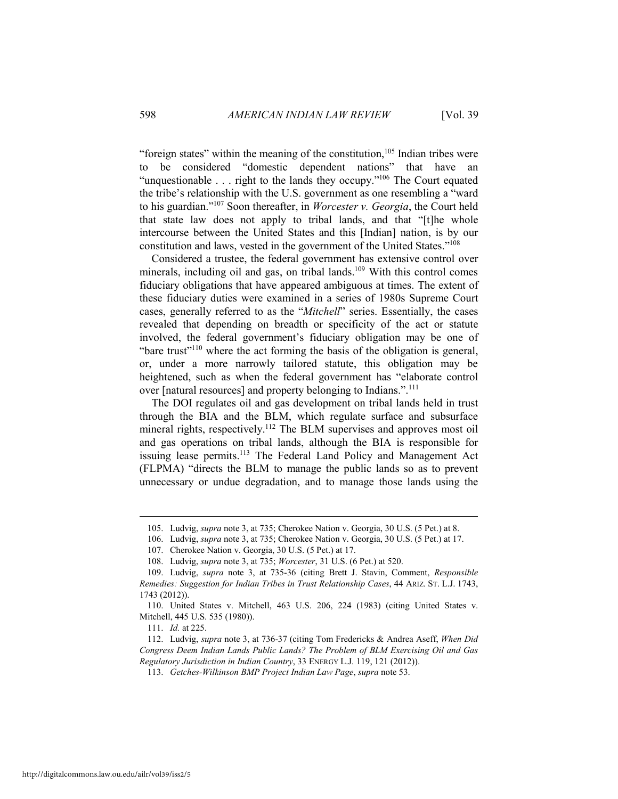"foreign states" within the meaning of the constitution, $105$  Indian tribes were to be considered "domestic dependent nations" that have an "unquestionable . . . right to the lands they occupy."106 The Court equated the tribe's relationship with the U.S. government as one resembling a "ward to his guardian."107 Soon thereafter, in *Worcester v. Georgia*, the Court held that state law does not apply to tribal lands, and that "[t]he whole intercourse between the United States and this [Indian] nation, is by our constitution and laws, vested in the government of the United States."108

Considered a trustee, the federal government has extensive control over minerals, including oil and gas, on tribal lands.<sup>109</sup> With this control comes fiduciary obligations that have appeared ambiguous at times. The extent of these fiduciary duties were examined in a series of 1980s Supreme Court cases, generally referred to as the "*Mitchell*" series. Essentially, the cases revealed that depending on breadth or specificity of the act or statute involved, the federal government's fiduciary obligation may be one of "bare trust"<sup>110</sup> where the act forming the basis of the obligation is general, or, under a more narrowly tailored statute, this obligation may be heightened, such as when the federal government has "elaborate control over [natural resources] and property belonging to Indians.".<sup>111</sup>

The DOI regulates oil and gas development on tribal lands held in trust through the BIA and the BLM, which regulate surface and subsurface mineral rights, respectively.<sup>112</sup> The BLM supervises and approves most oil and gas operations on tribal lands, although the BIA is responsible for issuing lease permits.<sup>113</sup> The Federal Land Policy and Management Act (FLPMA) "directs the BLM to manage the public lands so as to prevent unnecessary or undue degradation, and to manage those lands using the

111. *Id.* at 225.

 <sup>105.</sup> Ludvig, *supra* note 3, at 735; Cherokee Nation v. Georgia, 30 U.S. (5 Pet.) at 8.

 <sup>106.</sup> Ludvig, *supra* note 3, at 735; Cherokee Nation v. Georgia, 30 U.S. (5 Pet.) at 17.

 <sup>107.</sup> Cherokee Nation v. Georgia, 30 U.S. (5 Pet.) at 17.

 <sup>108.</sup> Ludvig, *supra* note 3, at 735; *Worcester*, 31 U.S. (6 Pet.) at 520.

 <sup>109.</sup> Ludvig, *supra* note 3, at 735-36 (citing Brett J. Stavin, Comment, *Responsible Remedies: Suggestion for Indian Tribes in Trust Relationship Cases*, 44 ARIZ. ST. L.J. 1743, 1743 (2012)).

 <sup>110.</sup> United States v. Mitchell, 463 U.S. 206, 224 (1983) (citing United States v. Mitchell, 445 U.S. 535 (1980)).

 <sup>112.</sup> Ludvig, *supra* note 3, at 736-37 (citing Tom Fredericks & Andrea Aseff, *When Did Congress Deem Indian Lands Public Lands? The Problem of BLM Exercising Oil and Gas Regulatory Jurisdiction in Indian Country*, 33 ENERGY L.J. 119, 121 (2012)).

 <sup>113.</sup> *Getches-Wilkinson BMP Project Indian Law Page*, *supra* note 53.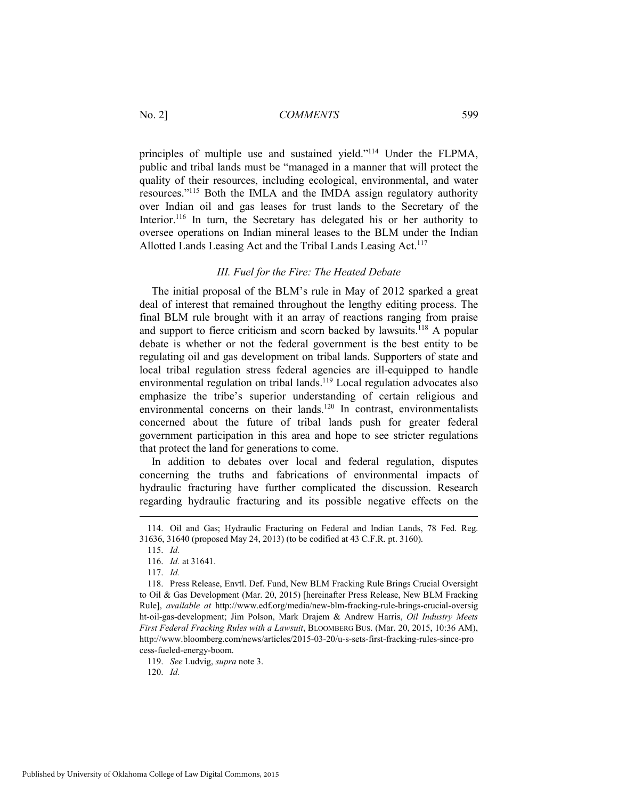principles of multiple use and sustained yield."114 Under the FLPMA, public and tribal lands must be "managed in a manner that will protect the quality of their resources, including ecological, environmental, and water resources."115 Both the IMLA and the IMDA assign regulatory authority over Indian oil and gas leases for trust lands to the Secretary of the Interior.<sup>116</sup> In turn, the Secretary has delegated his or her authority to oversee operations on Indian mineral leases to the BLM under the Indian Allotted Lands Leasing Act and the Tribal Lands Leasing Act.<sup>117</sup>

#### *III. Fuel for the Fire: The Heated Debate*

The initial proposal of the BLM's rule in May of 2012 sparked a great deal of interest that remained throughout the lengthy editing process. The final BLM rule brought with it an array of reactions ranging from praise and support to fierce criticism and scorn backed by lawsuits.118 A popular debate is whether or not the federal government is the best entity to be regulating oil and gas development on tribal lands. Supporters of state and local tribal regulation stress federal agencies are ill-equipped to handle environmental regulation on tribal lands.<sup>119</sup> Local regulation advocates also emphasize the tribe's superior understanding of certain religious and environmental concerns on their lands.<sup>120</sup> In contrast, environmentalists concerned about the future of tribal lands push for greater federal government participation in this area and hope to see stricter regulations that protect the land for generations to come.

In addition to debates over local and federal regulation, disputes concerning the truths and fabrications of environmental impacts of hydraulic fracturing have further complicated the discussion. Research regarding hydraulic fracturing and its possible negative effects on the

 $\overline{a}$ 

 <sup>114.</sup> Oil and Gas; Hydraulic Fracturing on Federal and Indian Lands, 78 Fed. Reg. 31636, 31640 (proposed May 24, 2013) (to be codified at 43 C.F.R. pt. 3160).

 <sup>115.</sup> *Id.*

 <sup>116.</sup> *Id.* at 31641.

 <sup>117.</sup> *Id.*

 <sup>118.</sup> Press Release, Envtl. Def. Fund, New BLM Fracking Rule Brings Crucial Oversight to Oil & Gas Development (Mar. 20, 2015) [hereinafter Press Release, New BLM Fracking Rule], *available at* http://www.edf.org/media/new-blm-fracking-rule-brings-crucial-oversig ht-oil-gas-development; Jim Polson, Mark Drajem & Andrew Harris, *Oil Industry Meets First Federal Fracking Rules with a Lawsuit*, BLOOMBERG BUS. (Mar. 20, 2015, 10:36 AM), http://www.bloomberg.com/news/articles/2015-03-20/u-s-sets-first-fracking-rules-since-pro cess-fueled-energy-boom.

 <sup>119.</sup> *See* Ludvig, *supra* note 3.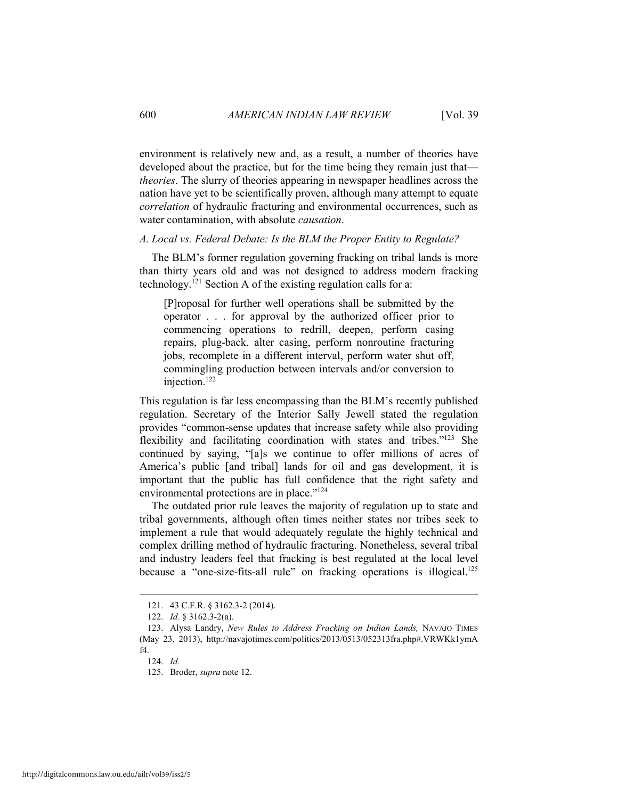environment is relatively new and, as a result, a number of theories have developed about the practice, but for the time being they remain just that *theories*. The slurry of theories appearing in newspaper headlines across the nation have yet to be scientifically proven, although many attempt to equate *correlation* of hydraulic fracturing and environmental occurrences, such as water contamination, with absolute *causation*.

#### *A. Local vs. Federal Debate: Is the BLM the Proper Entity to Regulate?*

The BLM's former regulation governing fracking on tribal lands is more than thirty years old and was not designed to address modern fracking technology.<sup>121</sup> Section A of the existing regulation calls for a:

[P]roposal for further well operations shall be submitted by the operator . . . for approval by the authorized officer prior to commencing operations to redrill, deepen, perform casing repairs, plug-back, alter casing, perform nonroutine fracturing jobs, recomplete in a different interval, perform water shut off, commingling production between intervals and/or conversion to injection.122

This regulation is far less encompassing than the BLM's recently published regulation. Secretary of the Interior Sally Jewell stated the regulation provides "common-sense updates that increase safety while also providing flexibility and facilitating coordination with states and tribes."123 She continued by saying, "[a]s we continue to offer millions of acres of America's public [and tribal] lands for oil and gas development, it is important that the public has full confidence that the right safety and environmental protections are in place."<sup>124</sup>

The outdated prior rule leaves the majority of regulation up to state and tribal governments, although often times neither states nor tribes seek to implement a rule that would adequately regulate the highly technical and complex drilling method of hydraulic fracturing. Nonetheless, several tribal and industry leaders feel that fracking is best regulated at the local level because a "one-size-fits-all rule" on fracking operations is illogical.<sup>125</sup>

 <sup>121. 43</sup> C.F.R. § 3162.3-2 (2014).

 <sup>122.</sup> *Id.* § 3162.3-2(a).

 <sup>123.</sup> Alysa Landry, *New Rules to Address Fracking on Indian Lands,* NAVAJO TIMES (May 23, 2013), http://navajotimes.com/politics/2013/0513/052313fra.php#.VRWKk1ymA f4.

 <sup>124.</sup> *Id.*

 <sup>125.</sup> Broder, *supra* note 12.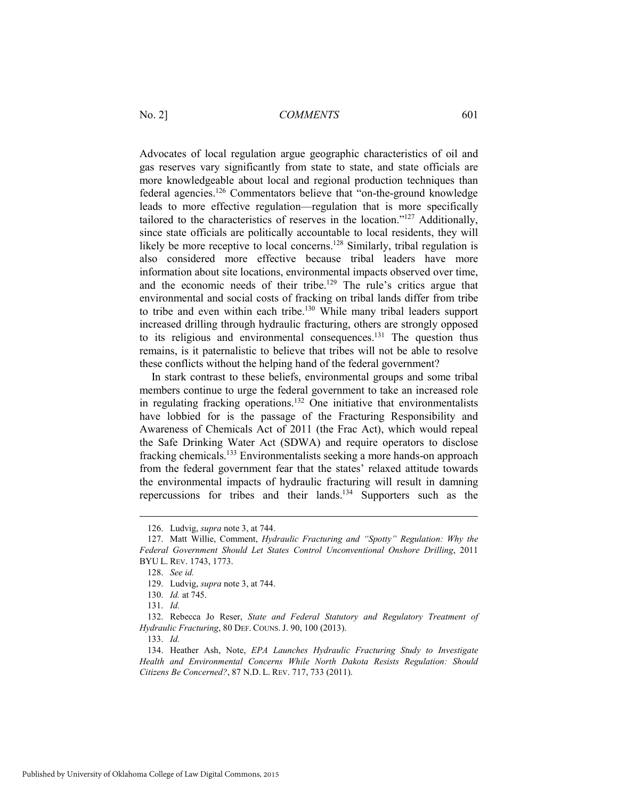Advocates of local regulation argue geographic characteristics of oil and gas reserves vary significantly from state to state, and state officials are more knowledgeable about local and regional production techniques than federal agencies.126 Commentators believe that "on-the-ground knowledge leads to more effective regulation—regulation that is more specifically tailored to the characteristics of reserves in the location."127 Additionally, since state officials are politically accountable to local residents, they will likely be more receptive to local concerns.<sup>128</sup> Similarly, tribal regulation is also considered more effective because tribal leaders have more information about site locations, environmental impacts observed over time, and the economic needs of their tribe.<sup>129</sup> The rule's critics argue that environmental and social costs of fracking on tribal lands differ from tribe to tribe and even within each tribe.<sup>130</sup> While many tribal leaders support increased drilling through hydraulic fracturing, others are strongly opposed to its religious and environmental consequences.<sup>131</sup> The question thus remains, is it paternalistic to believe that tribes will not be able to resolve these conflicts without the helping hand of the federal government?

In stark contrast to these beliefs, environmental groups and some tribal members continue to urge the federal government to take an increased role in regulating fracking operations.<sup>132</sup> One initiative that environmentalists have lobbied for is the passage of the Fracturing Responsibility and Awareness of Chemicals Act of 2011 (the Frac Act), which would repeal the Safe Drinking Water Act (SDWA) and require operators to disclose fracking chemicals.133 Environmentalists seeking a more hands-on approach from the federal government fear that the states' relaxed attitude towards the environmental impacts of hydraulic fracturing will result in damning repercussions for tribes and their lands.134 Supporters such as the

 <sup>126.</sup> Ludvig, *supra* note 3, at 744.

 <sup>127.</sup> Matt Willie, Comment, *Hydraulic Fracturing and "Spotty" Regulation: Why the Federal Government Should Let States Control Unconventional Onshore Drilling*, 2011 BYU L. REV. 1743, 1773.

 <sup>128.</sup> *See id.* 

 <sup>129.</sup> Ludvig, *supra* note 3, at 744.

 <sup>130.</sup> *Id.* at 745.

 <sup>131.</sup> *Id.*

 <sup>132.</sup> Rebecca Jo Reser, *State and Federal Statutory and Regulatory Treatment of Hydraulic Fracturing*, 80 DEF. COUNS. J. 90, 100 (2013).

 <sup>133.</sup> *Id.*

 <sup>134.</sup> Heather Ash, Note, *EPA Launches Hydraulic Fracturing Study to Investigate Health and Environmental Concerns While North Dakota Resists Regulation: Should Citizens Be Concerned?*, 87 N.D. L. REV. 717, 733 (2011).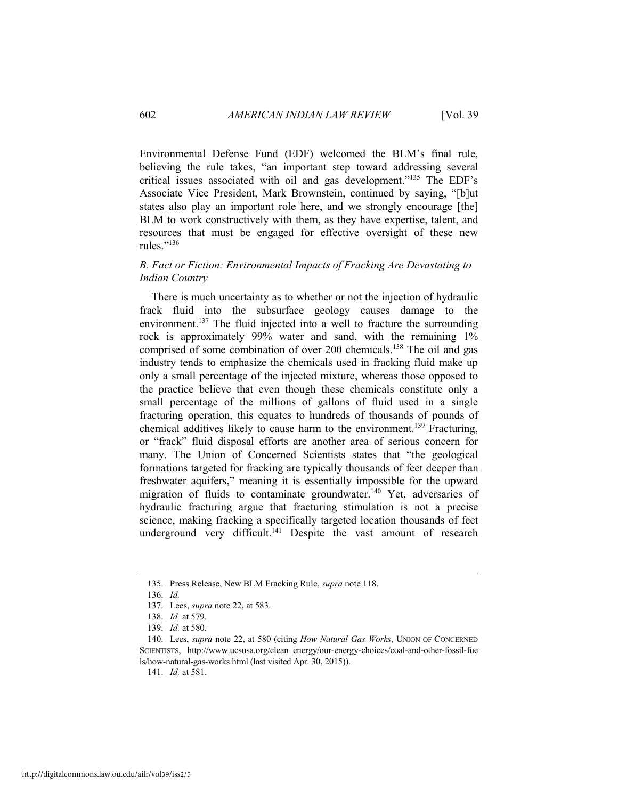Environmental Defense Fund (EDF) welcomed the BLM's final rule, believing the rule takes, "an important step toward addressing several critical issues associated with oil and gas development."135 The EDF's Associate Vice President, Mark Brownstein, continued by saying, "[b]ut states also play an important role here, and we strongly encourage [the] BLM to work constructively with them, as they have expertise, talent, and resources that must be engaged for effective oversight of these new rules."136

#### *B. Fact or Fiction: Environmental Impacts of Fracking Are Devastating to Indian Country*

There is much uncertainty as to whether or not the injection of hydraulic frack fluid into the subsurface geology causes damage to the environment.<sup>137</sup> The fluid injected into a well to fracture the surrounding rock is approximately 99% water and sand, with the remaining 1% comprised of some combination of over 200 chemicals.138 The oil and gas industry tends to emphasize the chemicals used in fracking fluid make up only a small percentage of the injected mixture, whereas those opposed to the practice believe that even though these chemicals constitute only a small percentage of the millions of gallons of fluid used in a single fracturing operation, this equates to hundreds of thousands of pounds of chemical additives likely to cause harm to the environment.139 Fracturing, or "frack" fluid disposal efforts are another area of serious concern for many. The Union of Concerned Scientists states that "the geological formations targeted for fracking are typically thousands of feet deeper than freshwater aquifers," meaning it is essentially impossible for the upward migration of fluids to contaminate groundwater.140 Yet, adversaries of hydraulic fracturing argue that fracturing stimulation is not a precise science, making fracking a specifically targeted location thousands of feet underground very difficult.<sup>141</sup> Despite the vast amount of research

 $\overline{a}$ 

141. *Id.* at 581.

 <sup>135.</sup> Press Release, New BLM Fracking Rule, *supra* note 118.

 <sup>136.</sup> *Id.* 

 <sup>137.</sup> Lees, *supra* note 22, at 583.

 <sup>138.</sup> *Id.* at 579.

 <sup>139.</sup> *Id.* at 580.

 <sup>140.</sup> Lees, *supra* note 22, at 580 (citing *How Natural Gas Works*, UNION OF CONCERNED SCIENTISTS, http://www.ucsusa.org/clean\_energy/our-energy-choices/coal-and-other-fossil-fue ls/how-natural-gas-works.html (last visited Apr. 30, 2015)).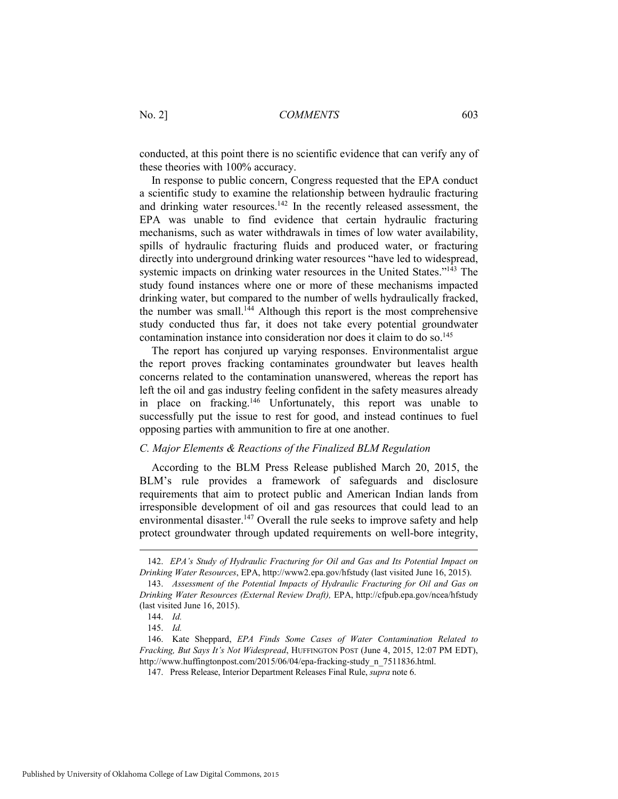conducted, at this point there is no scientific evidence that can verify any of these theories with 100% accuracy.

In response to public concern, Congress requested that the EPA conduct a scientific study to examine the relationship between hydraulic fracturing and drinking water resources.142 In the recently released assessment, the EPA was unable to find evidence that certain hydraulic fracturing mechanisms, such as water withdrawals in times of low water availability, spills of hydraulic fracturing fluids and produced water, or fracturing directly into underground drinking water resources "have led to widespread, systemic impacts on drinking water resources in the United States."<sup>143</sup> The study found instances where one or more of these mechanisms impacted drinking water, but compared to the number of wells hydraulically fracked, the number was small.<sup>144</sup> Although this report is the most comprehensive study conducted thus far, it does not take every potential groundwater contamination instance into consideration nor does it claim to do so.145

The report has conjured up varying responses. Environmentalist argue the report proves fracking contaminates groundwater but leaves health concerns related to the contamination unanswered, whereas the report has left the oil and gas industry feeling confident in the safety measures already in place on fracking.146 Unfortunately, this report was unable to successfully put the issue to rest for good, and instead continues to fuel opposing parties with ammunition to fire at one another.

#### *C. Major Elements & Reactions of the Finalized BLM Regulation*

According to the BLM Press Release published March 20, 2015, the BLM's rule provides a framework of safeguards and disclosure requirements that aim to protect public and American Indian lands from irresponsible development of oil and gas resources that could lead to an environmental disaster.<sup>147</sup> Overall the rule seeks to improve safety and help protect groundwater through updated requirements on well-bore integrity,

 <sup>142.</sup> *EPA's Study of Hydraulic Fracturing for Oil and Gas and Its Potential Impact on Drinking Water Resources*, EPA, http://www2.epa.gov/hfstudy (last visited June 16, 2015).

 <sup>143.</sup> *Assessment of the Potential Impacts of Hydraulic Fracturing for Oil and Gas on Drinking Water Resources (External Review Draft),* EPA, http://cfpub.epa.gov/ncea/hfstudy (last visited June 16, 2015).

 <sup>144.</sup> *Id.*

 <sup>145.</sup> *Id.*

 <sup>146.</sup> Kate Sheppard, *EPA Finds Some Cases of Water Contamination Related to Fracking, But Says It's Not Widespread*, HUFFINGTON POST (June 4, 2015, 12:07 PM EDT), http://www.huffingtonpost.com/2015/06/04/epa-fracking-study\_n\_7511836.html.

 <sup>147.</sup> Press Release, Interior Department Releases Final Rule, *supra* note 6.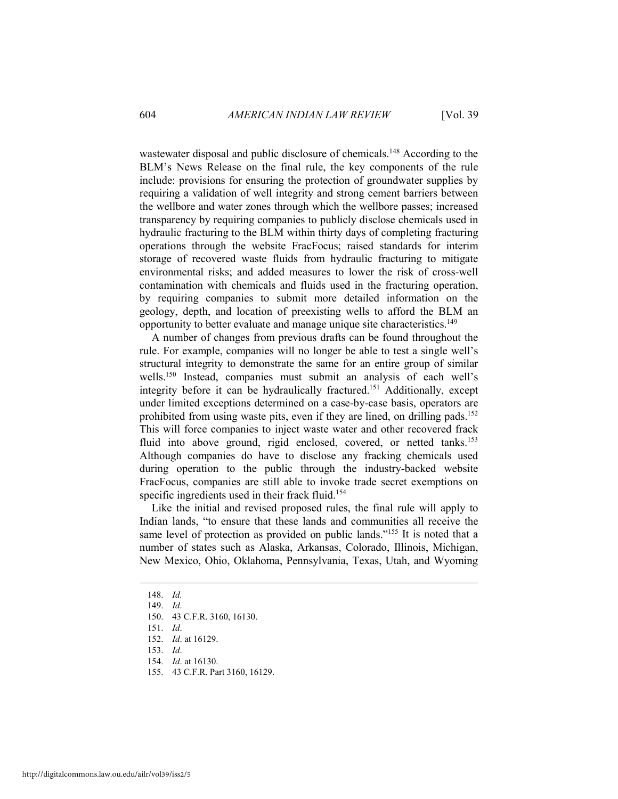wastewater disposal and public disclosure of chemicals.<sup>148</sup> According to the BLM's News Release on the final rule, the key components of the rule include: provisions for ensuring the protection of groundwater supplies by requiring a validation of well integrity and strong cement barriers between the wellbore and water zones through which the wellbore passes; increased transparency by requiring companies to publicly disclose chemicals used in hydraulic fracturing to the BLM within thirty days of completing fracturing operations through the website FracFocus; raised standards for interim storage of recovered waste fluids from hydraulic fracturing to mitigate environmental risks; and added measures to lower the risk of cross-well contamination with chemicals and fluids used in the fracturing operation, by requiring companies to submit more detailed information on the geology, depth, and location of preexisting wells to afford the BLM an opportunity to better evaluate and manage unique site characteristics.149

A number of changes from previous drafts can be found throughout the rule. For example, companies will no longer be able to test a single well's structural integrity to demonstrate the same for an entire group of similar wells.150 Instead, companies must submit an analysis of each well's integrity before it can be hydraulically fractured.<sup>151</sup> Additionally, except under limited exceptions determined on a case-by-case basis, operators are prohibited from using waste pits, even if they are lined, on drilling pads.<sup>152</sup> This will force companies to inject waste water and other recovered frack fluid into above ground, rigid enclosed, covered, or netted tanks.<sup>153</sup> Although companies do have to disclose any fracking chemicals used during operation to the public through the industry-backed website FracFocus, companies are still able to invoke trade secret exemptions on specific ingredients used in their frack fluid.<sup>154</sup>

Like the initial and revised proposed rules, the final rule will apply to Indian lands, "to ensure that these lands and communities all receive the same level of protection as provided on public lands."<sup>155</sup> It is noted that a number of states such as Alaska, Arkansas, Colorado, Illinois, Michigan, New Mexico, Ohio, Oklahoma, Pennsylvania, Texas, Utah, and Wyoming

 $\overline{a}$ 

155. 43 C.F.R. Part 3160, 16129.

 <sup>148.</sup> *Id.*

 <sup>149.</sup> *Id*.

 <sup>150. 43</sup> C.F.R. 3160, 16130.

 <sup>151.</sup> *Id*.

 <sup>152.</sup> *Id*. at 16129.

 <sup>153.</sup> *Id*.

 <sup>154.</sup> *Id*. at 16130.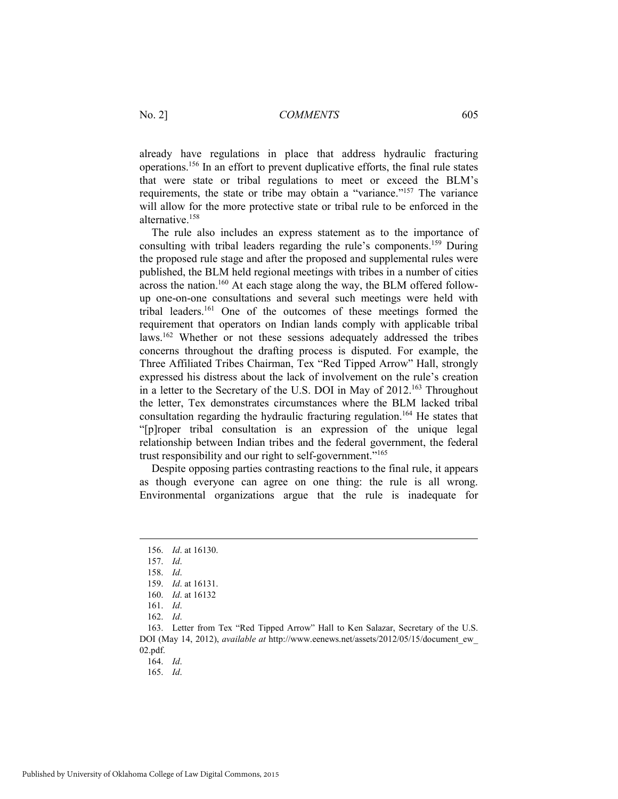already have regulations in place that address hydraulic fracturing operations.156 In an effort to prevent duplicative efforts, the final rule states that were state or tribal regulations to meet or exceed the BLM's requirements, the state or tribe may obtain a "variance."157 The variance will allow for the more protective state or tribal rule to be enforced in the alternative<sup>158</sup>

The rule also includes an express statement as to the importance of consulting with tribal leaders regarding the rule's components.159 During the proposed rule stage and after the proposed and supplemental rules were published, the BLM held regional meetings with tribes in a number of cities  $\alpha$  across the nation.<sup>160</sup> At each stage along the way, the BLM offered followup one-on-one consultations and several such meetings were held with tribal leaders.161 One of the outcomes of these meetings formed the requirement that operators on Indian lands comply with applicable tribal laws.162 Whether or not these sessions adequately addressed the tribes concerns throughout the drafting process is disputed. For example, the Three Affiliated Tribes Chairman, Tex "Red Tipped Arrow" Hall, strongly expressed his distress about the lack of involvement on the rule's creation in a letter to the Secretary of the U.S. DOI in May of 2012.163 Throughout the letter, Tex demonstrates circumstances where the BLM lacked tribal consultation regarding the hydraulic fracturing regulation.164 He states that "[p]roper tribal consultation is an expression of the unique legal relationship between Indian tribes and the federal government, the federal trust responsibility and our right to self-government."165

Despite opposing parties contrasting reactions to the final rule, it appears as though everyone can agree on one thing: the rule is all wrong. Environmental organizations argue that the rule is inadequate for

 $\overline{a}$ 

 <sup>156.</sup> *Id*. at 16130.

 <sup>157.</sup> *Id*.

 <sup>158.</sup> *Id*.

 <sup>159.</sup> *Id*. at 16131.

 <sup>160.</sup> *Id*. at 16132

 <sup>161.</sup> *Id*.

 <sup>162.</sup> *Id*.

 <sup>163.</sup> Letter from Tex "Red Tipped Arrow" Hall to Ken Salazar, Secretary of the U.S. DOI (May 14, 2012), *available at* http://www.eenews.net/assets/2012/05/15/document\_ew\_ 02.pdf.

 <sup>165.</sup> *Id*.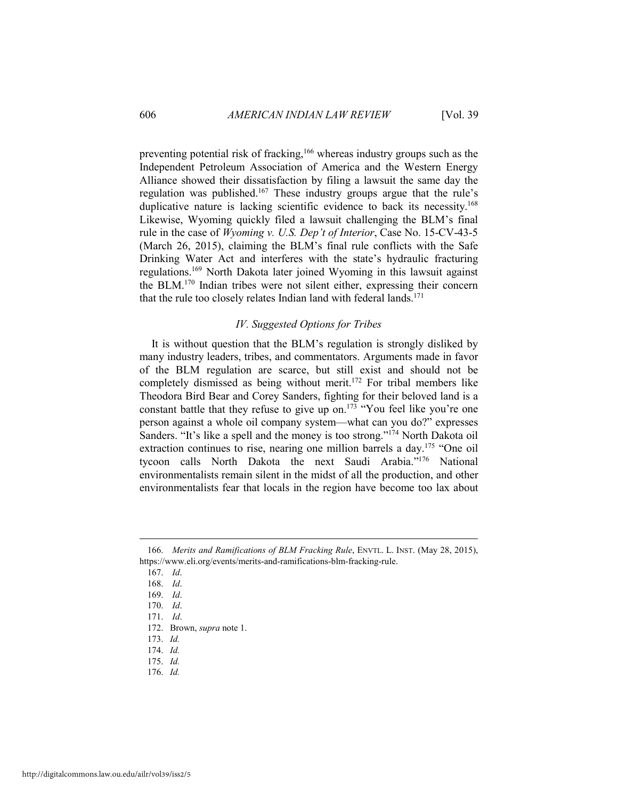preventing potential risk of fracking,166 whereas industry groups such as the Independent Petroleum Association of America and the Western Energy Alliance showed their dissatisfaction by filing a lawsuit the same day the regulation was published.167 These industry groups argue that the rule's duplicative nature is lacking scientific evidence to back its necessity.<sup>168</sup> Likewise, Wyoming quickly filed a lawsuit challenging the BLM's final rule in the case of *Wyoming v. U.S. Dep't of Interior*, Case No. 15-CV-43-5 (March 26, 2015), claiming the BLM's final rule conflicts with the Safe Drinking Water Act and interferes with the state's hydraulic fracturing regulations.169 North Dakota later joined Wyoming in this lawsuit against the BLM.170 Indian tribes were not silent either, expressing their concern that the rule too closely relates Indian land with federal lands.<sup>171</sup>

#### *IV. Suggested Options for Tribes*

It is without question that the BLM's regulation is strongly disliked by many industry leaders, tribes, and commentators. Arguments made in favor of the BLM regulation are scarce, but still exist and should not be completely dismissed as being without merit.172 For tribal members like Theodora Bird Bear and Corey Sanders, fighting for their beloved land is a constant battle that they refuse to give up on.<sup>173</sup> "You feel like you're one person against a whole oil company system—what can you do?" expresses Sanders. "It's like a spell and the money is too strong."<sup>174</sup> North Dakota oil extraction continues to rise, nearing one million barrels a day.<sup>175</sup> "One oil tycoon calls North Dakota the next Saudi Arabia."176 National environmentalists remain silent in the midst of all the production, and other environmentalists fear that locals in the region have become too lax about

 $\overline{a}$ 

 <sup>166.</sup> *Merits and Ramifications of BLM Fracking Rule*, ENVTL. L. INST. (May 28, 2015), https://www.eli.org/events/merits-and-ramifications-blm-fracking-rule.

 <sup>167.</sup> *Id*.

 <sup>168.</sup> *Id*.

 <sup>169.</sup> *Id*.

 <sup>170.</sup> *Id*.

 <sup>171.</sup> *Id*.

 <sup>172.</sup> Brown, *supra* note 1.

 <sup>173.</sup> *Id.*

 <sup>174.</sup> *Id.*

 <sup>175.</sup> *Id.*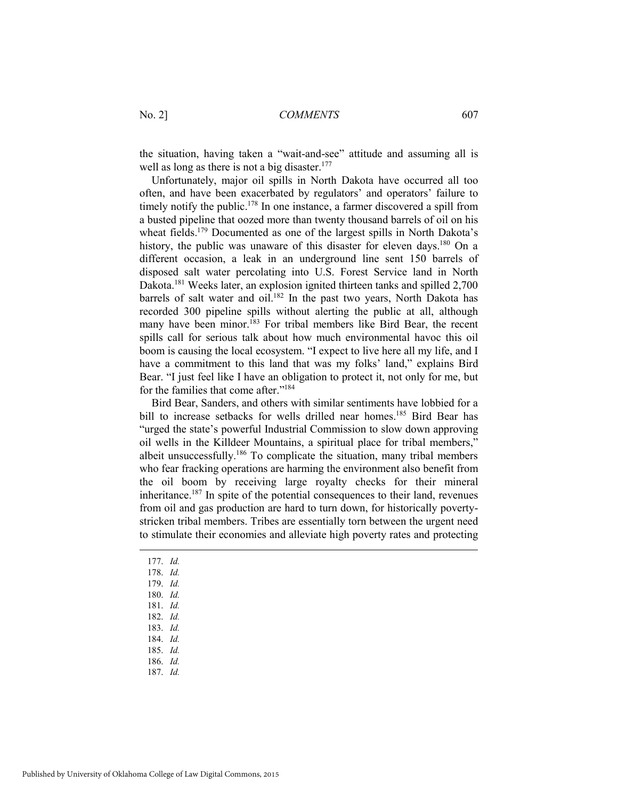the situation, having taken a "wait-and-see" attitude and assuming all is well as long as there is not a big disaster.<sup>177</sup>

Unfortunately, major oil spills in North Dakota have occurred all too often, and have been exacerbated by regulators' and operators' failure to timely notify the public.<sup>178</sup> In one instance, a farmer discovered a spill from a busted pipeline that oozed more than twenty thousand barrels of oil on his wheat fields.<sup>179</sup> Documented as one of the largest spills in North Dakota's history, the public was unaware of this disaster for eleven days.<sup>180</sup> On a different occasion, a leak in an underground line sent 150 barrels of disposed salt water percolating into U.S. Forest Service land in North Dakota.181 Weeks later, an explosion ignited thirteen tanks and spilled 2,700 barrels of salt water and oil.<sup>182</sup> In the past two years, North Dakota has recorded 300 pipeline spills without alerting the public at all, although many have been minor.<sup>183</sup> For tribal members like Bird Bear, the recent spills call for serious talk about how much environmental havoc this oil boom is causing the local ecosystem. "I expect to live here all my life, and I have a commitment to this land that was my folks' land," explains Bird Bear. "I just feel like I have an obligation to protect it, not only for me, but for the families that come after."184

Bird Bear, Sanders, and others with similar sentiments have lobbied for a bill to increase setbacks for wells drilled near homes.<sup>185</sup> Bird Bear has "urged the state's powerful Industrial Commission to slow down approving oil wells in the Killdeer Mountains, a spiritual place for tribal members," albeit unsuccessfully.186 To complicate the situation, many tribal members who fear fracking operations are harming the environment also benefit from the oil boom by receiving large royalty checks for their mineral inheritance.187 In spite of the potential consequences to their land, revenues from oil and gas production are hard to turn down, for historically povertystricken tribal members. Tribes are essentially torn between the urgent need to stimulate their economies and alleviate high poverty rates and protecting

- 177. *Id.*
- 178. *Id.*

- 179. *Id.*
- 180. *Id.*
- 181. *Id.*
- 182. *Id.*
- 183. *Id.*
- 184. *Id.* 185. *Id.*
- 186. *Id.*
- 187. *Id.*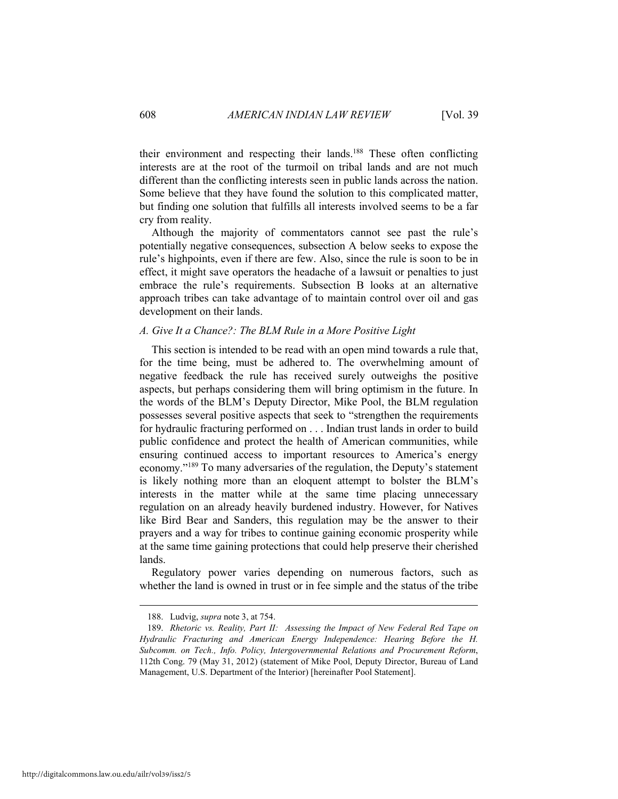their environment and respecting their lands.188 These often conflicting interests are at the root of the turmoil on tribal lands and are not much different than the conflicting interests seen in public lands across the nation. Some believe that they have found the solution to this complicated matter, but finding one solution that fulfills all interests involved seems to be a far cry from reality.

Although the majority of commentators cannot see past the rule's potentially negative consequences, subsection A below seeks to expose the rule's highpoints, even if there are few. Also, since the rule is soon to be in effect, it might save operators the headache of a lawsuit or penalties to just embrace the rule's requirements. Subsection B looks at an alternative approach tribes can take advantage of to maintain control over oil and gas development on their lands.

#### *A. Give It a Chance?: The BLM Rule in a More Positive Light*

This section is intended to be read with an open mind towards a rule that, for the time being, must be adhered to. The overwhelming amount of negative feedback the rule has received surely outweighs the positive aspects, but perhaps considering them will bring optimism in the future. In the words of the BLM's Deputy Director, Mike Pool, the BLM regulation possesses several positive aspects that seek to "strengthen the requirements for hydraulic fracturing performed on . . . Indian trust lands in order to build public confidence and protect the health of American communities, while ensuring continued access to important resources to America's energy economy."189 To many adversaries of the regulation, the Deputy's statement is likely nothing more than an eloquent attempt to bolster the BLM's interests in the matter while at the same time placing unnecessary regulation on an already heavily burdened industry. However, for Natives like Bird Bear and Sanders, this regulation may be the answer to their prayers and a way for tribes to continue gaining economic prosperity while at the same time gaining protections that could help preserve their cherished lands.

Regulatory power varies depending on numerous factors, such as whether the land is owned in trust or in fee simple and the status of the tribe

 <sup>188.</sup> Ludvig, *supra* note 3, at 754.

 <sup>189.</sup> *Rhetoric vs. Reality, Part II: Assessing the Impact of New Federal Red Tape on Hydraulic Fracturing and American Energy Independence: Hearing Before the H. Subcomm. on Tech., Info. Policy, Intergovernmental Relations and Procurement Reform*, 112th Cong. 79 (May 31, 2012) (statement of Mike Pool, Deputy Director, Bureau of Land Management, U.S. Department of the Interior) [hereinafter Pool Statement].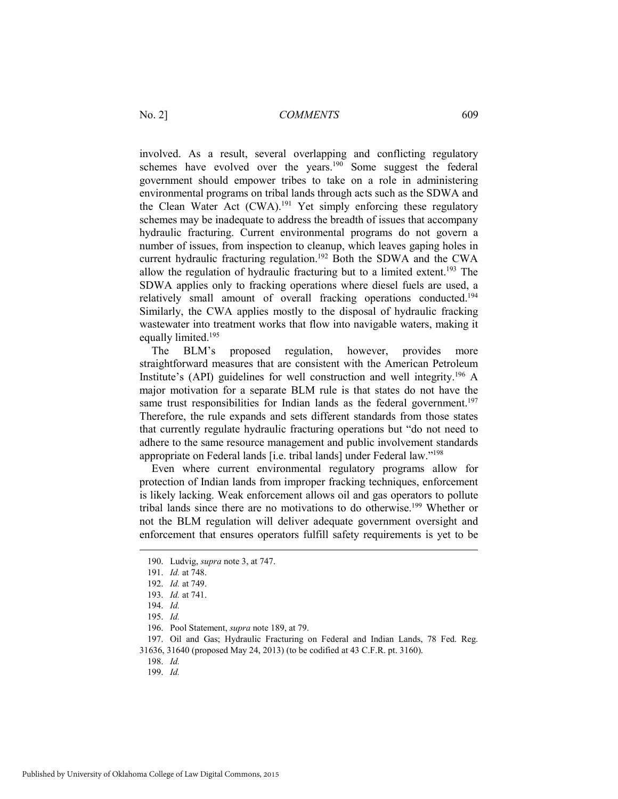involved. As a result, several overlapping and conflicting regulatory schemes have evolved over the years.<sup>190</sup> Some suggest the federal government should empower tribes to take on a role in administering environmental programs on tribal lands through acts such as the SDWA and the Clean Water Act (CWA).<sup>191</sup> Yet simply enforcing these regulatory schemes may be inadequate to address the breadth of issues that accompany hydraulic fracturing. Current environmental programs do not govern a number of issues, from inspection to cleanup, which leaves gaping holes in current hydraulic fracturing regulation.<sup>192</sup> Both the SDWA and the CWA allow the regulation of hydraulic fracturing but to a limited extent.<sup>193</sup> The SDWA applies only to fracking operations where diesel fuels are used, a relatively small amount of overall fracking operations conducted.194 Similarly, the CWA applies mostly to the disposal of hydraulic fracking wastewater into treatment works that flow into navigable waters, making it equally limited.195

The BLM's proposed regulation, however, provides more straightforward measures that are consistent with the American Petroleum Institute's (API) guidelines for well construction and well integrity.<sup>196</sup> A major motivation for a separate BLM rule is that states do not have the same trust responsibilities for Indian lands as the federal government.<sup>197</sup> Therefore, the rule expands and sets different standards from those states that currently regulate hydraulic fracturing operations but "do not need to adhere to the same resource management and public involvement standards appropriate on Federal lands [i.e. tribal lands] under Federal law."198

Even where current environmental regulatory programs allow for protection of Indian lands from improper fracking techniques, enforcement is likely lacking. Weak enforcement allows oil and gas operators to pollute tribal lands since there are no motivations to do otherwise.<sup>199</sup> Whether or not the BLM regulation will deliver adequate government oversight and enforcement that ensures operators fulfill safety requirements is yet to be

 $\overline{a}$ 

 <sup>190.</sup> Ludvig, *supra* note 3, at 747.

 <sup>191.</sup> *Id.* at 748.

 <sup>192.</sup> *Id.* at 749.

 <sup>193.</sup> *Id.* at 741.

 <sup>194.</sup> *Id.*

 <sup>195.</sup> *Id.*

 <sup>196.</sup> Pool Statement, *supra* note 189, at 79.

 <sup>197.</sup> Oil and Gas; Hydraulic Fracturing on Federal and Indian Lands, 78 Fed. Reg. 31636, 31640 (proposed May 24, 2013) (to be codified at 43 C.F.R. pt. 3160).

 <sup>199.</sup> *Id.*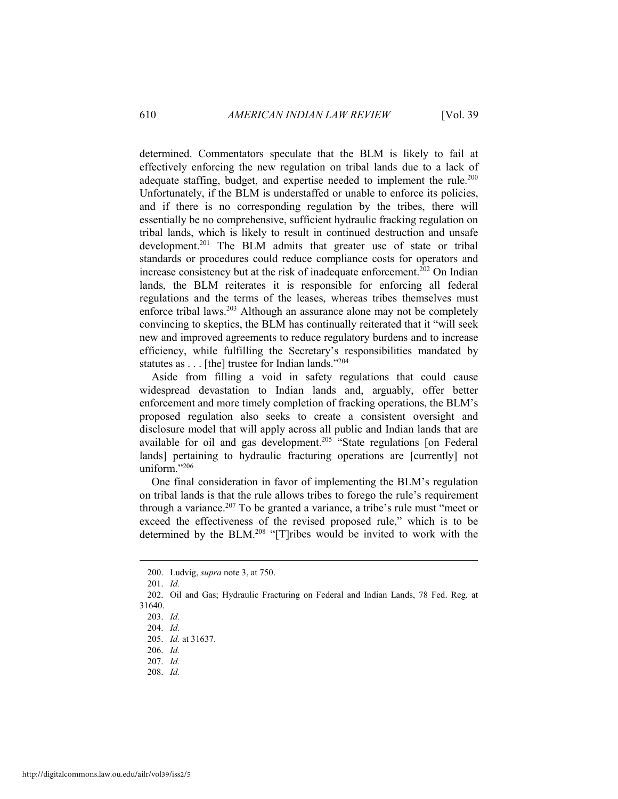determined. Commentators speculate that the BLM is likely to fail at effectively enforcing the new regulation on tribal lands due to a lack of adequate staffing, budget, and expertise needed to implement the rule.<sup>200</sup> Unfortunately, if the BLM is understaffed or unable to enforce its policies, and if there is no corresponding regulation by the tribes, there will essentially be no comprehensive, sufficient hydraulic fracking regulation on tribal lands, which is likely to result in continued destruction and unsafe development.<sup>201</sup> The BLM admits that greater use of state or tribal standards or procedures could reduce compliance costs for operators and increase consistency but at the risk of inadequate enforcement.<sup>202</sup> On Indian lands, the BLM reiterates it is responsible for enforcing all federal regulations and the terms of the leases, whereas tribes themselves must enforce tribal laws.203 Although an assurance alone may not be completely convincing to skeptics, the BLM has continually reiterated that it "will seek new and improved agreements to reduce regulatory burdens and to increase efficiency, while fulfilling the Secretary's responsibilities mandated by statutes as . . . [the] trustee for Indian lands."204

Aside from filling a void in safety regulations that could cause widespread devastation to Indian lands and, arguably, offer better enforcement and more timely completion of fracking operations, the BLM's proposed regulation also seeks to create a consistent oversight and disclosure model that will apply across all public and Indian lands that are available for oil and gas development.<sup>205</sup> "State regulations [on Federal lands] pertaining to hydraulic fracturing operations are [currently] not uniform $^{206}$ 

One final consideration in favor of implementing the BLM's regulation on tribal lands is that the rule allows tribes to forego the rule's requirement through a variance.207 To be granted a variance, a tribe's rule must "meet or exceed the effectiveness of the revised proposed rule," which is to be determined by the BLM.208 "[T]ribes would be invited to work with the

 <sup>200.</sup> Ludvig, *supra* note 3, at 750.

 <sup>201.</sup> *Id.*

 <sup>202.</sup> Oil and Gas; Hydraulic Fracturing on Federal and Indian Lands, 78 Fed. Reg. at 31640.

 <sup>203.</sup> *Id.*

 <sup>204.</sup> *Id.*

 <sup>205.</sup> *Id.* at 31637.

 <sup>206.</sup> *Id.*

 <sup>207.</sup> *Id.*

 <sup>208.</sup> *Id.*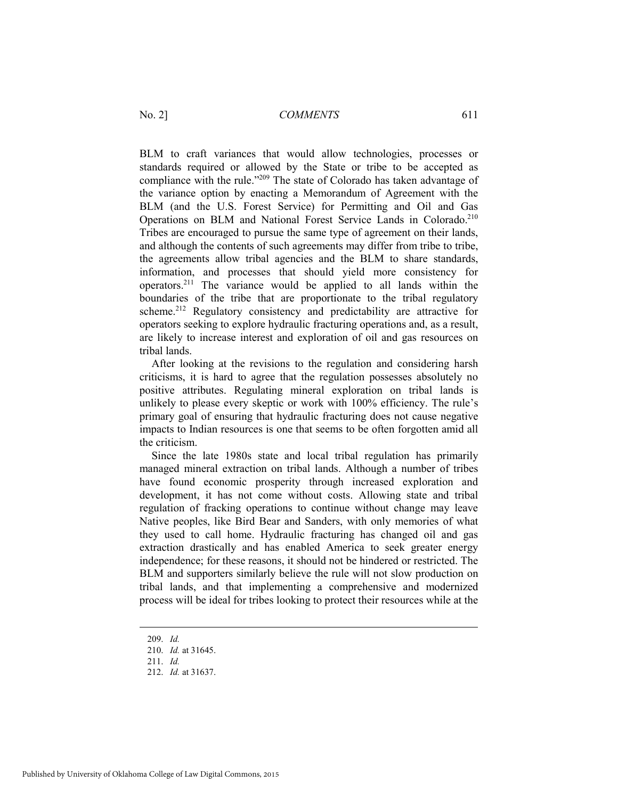BLM to craft variances that would allow technologies, processes or standards required or allowed by the State or tribe to be accepted as compliance with the rule."209 The state of Colorado has taken advantage of the variance option by enacting a Memorandum of Agreement with the BLM (and the U.S. Forest Service) for Permitting and Oil and Gas Operations on BLM and National Forest Service Lands in Colorado.<sup>210</sup> Tribes are encouraged to pursue the same type of agreement on their lands, and although the contents of such agreements may differ from tribe to tribe, the agreements allow tribal agencies and the BLM to share standards, information, and processes that should yield more consistency for operators.211 The variance would be applied to all lands within the boundaries of the tribe that are proportionate to the tribal regulatory scheme.<sup>212</sup> Regulatory consistency and predictability are attractive for operators seeking to explore hydraulic fracturing operations and, as a result, are likely to increase interest and exploration of oil and gas resources on tribal lands.

After looking at the revisions to the regulation and considering harsh criticisms, it is hard to agree that the regulation possesses absolutely no positive attributes. Regulating mineral exploration on tribal lands is unlikely to please every skeptic or work with 100% efficiency. The rule's primary goal of ensuring that hydraulic fracturing does not cause negative impacts to Indian resources is one that seems to be often forgotten amid all the criticism.

Since the late 1980s state and local tribal regulation has primarily managed mineral extraction on tribal lands. Although a number of tribes have found economic prosperity through increased exploration and development, it has not come without costs. Allowing state and tribal regulation of fracking operations to continue without change may leave Native peoples, like Bird Bear and Sanders, with only memories of what they used to call home. Hydraulic fracturing has changed oil and gas extraction drastically and has enabled America to seek greater energy independence; for these reasons, it should not be hindered or restricted. The BLM and supporters similarly believe the rule will not slow production on tribal lands, and that implementing a comprehensive and modernized process will be ideal for tribes looking to protect their resources while at the

209. *Id.*

 $\overline{a}$ 

210. *Id.* at 31645.

 <sup>211.</sup> *Id.*

 <sup>212.</sup> *Id.* at 31637.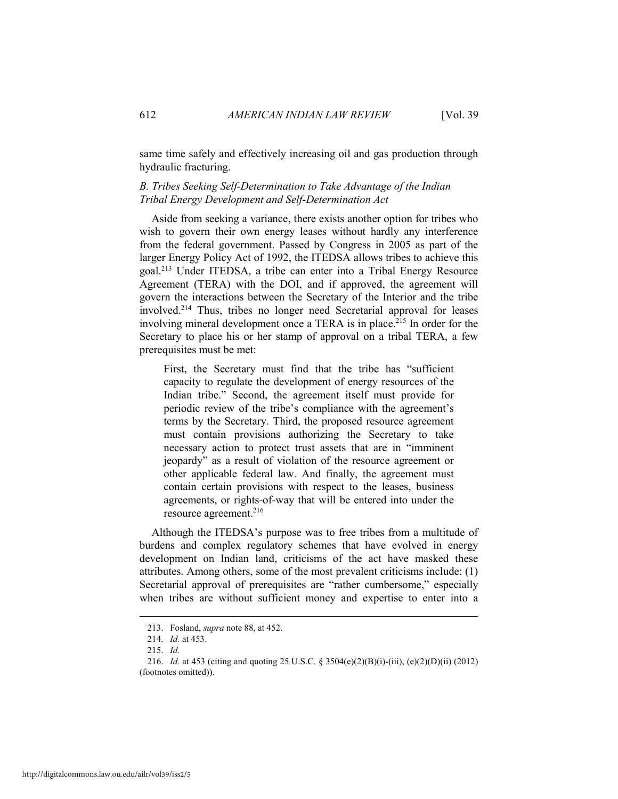same time safely and effectively increasing oil and gas production through hydraulic fracturing.

#### *B. Tribes Seeking Self-Determination to Take Advantage of the Indian Tribal Energy Development and Self-Determination Act*

Aside from seeking a variance, there exists another option for tribes who wish to govern their own energy leases without hardly any interference from the federal government. Passed by Congress in 2005 as part of the larger Energy Policy Act of 1992, the ITEDSA allows tribes to achieve this goal.213 Under ITEDSA, a tribe can enter into a Tribal Energy Resource Agreement (TERA) with the DOI, and if approved, the agreement will govern the interactions between the Secretary of the Interior and the tribe involved.214 Thus, tribes no longer need Secretarial approval for leases involving mineral development once a TERA is in place.<sup>215</sup> In order for the Secretary to place his or her stamp of approval on a tribal TERA, a few prerequisites must be met:

First, the Secretary must find that the tribe has "sufficient capacity to regulate the development of energy resources of the Indian tribe." Second, the agreement itself must provide for periodic review of the tribe's compliance with the agreement's terms by the Secretary. Third, the proposed resource agreement must contain provisions authorizing the Secretary to take necessary action to protect trust assets that are in "imminent jeopardy" as a result of violation of the resource agreement or other applicable federal law. And finally, the agreement must contain certain provisions with respect to the leases, business agreements, or rights-of-way that will be entered into under the resource agreement.216

Although the ITEDSA's purpose was to free tribes from a multitude of burdens and complex regulatory schemes that have evolved in energy development on Indian land, criticisms of the act have masked these attributes. Among others, some of the most prevalent criticisms include: (1) Secretarial approval of prerequisites are "rather cumbersome," especially when tribes are without sufficient money and expertise to enter into a

 <sup>213.</sup> Fosland, *supra* note 88, at 452.

 <sup>214.</sup> *Id.* at 453.

 <sup>215.</sup> *Id.*

 <sup>216.</sup> *Id.* at 453 (citing and quoting 25 U.S.C. § 3504(e)(2)(B)(i)-(iii), (e)(2)(D)(ii) (2012) (footnotes omitted)).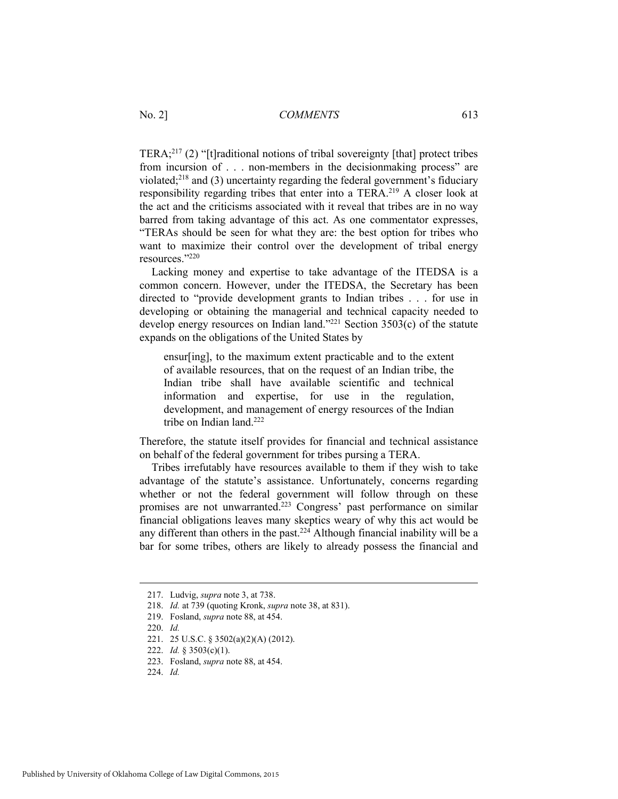TERA;217 (2) "[t]raditional notions of tribal sovereignty [that] protect tribes from incursion of . . . non-members in the decisionmaking process" are violated;218 and (3) uncertainty regarding the federal government's fiduciary responsibility regarding tribes that enter into a TERA.<sup>219</sup> A closer look at the act and the criticisms associated with it reveal that tribes are in no way barred from taking advantage of this act. As one commentator expresses, "TERAs should be seen for what they are: the best option for tribes who want to maximize their control over the development of tribal energy resources."220

Lacking money and expertise to take advantage of the ITEDSA is a common concern. However, under the ITEDSA, the Secretary has been directed to "provide development grants to Indian tribes . . . for use in developing or obtaining the managerial and technical capacity needed to develop energy resources on Indian land."<sup>221</sup> Section  $3503(c)$  of the statute expands on the obligations of the United States by

ensur[ing], to the maximum extent practicable and to the extent of available resources, that on the request of an Indian tribe, the Indian tribe shall have available scientific and technical information and expertise, for use in the regulation, development, and management of energy resources of the Indian tribe on Indian land.<sup>222</sup>

Therefore, the statute itself provides for financial and technical assistance on behalf of the federal government for tribes pursing a TERA.

Tribes irrefutably have resources available to them if they wish to take advantage of the statute's assistance. Unfortunately, concerns regarding whether or not the federal government will follow through on these promises are not unwarranted.<sup>223</sup> Congress' past performance on similar financial obligations leaves many skeptics weary of why this act would be any different than others in the past.<sup>224</sup> Although financial inability will be a bar for some tribes, others are likely to already possess the financial and

 <sup>217.</sup> Ludvig, *supra* note 3, at 738.

 <sup>218.</sup> *Id.* at 739 (quoting Kronk, *supra* note 38, at 831).

 <sup>219.</sup> Fosland, *supra* note 88, at 454.

 <sup>220.</sup> *Id.*

 <sup>221. 25</sup> U.S.C. § 3502(a)(2)(A) (2012).

 <sup>222.</sup> *Id.* § 3503(c)(1).

 <sup>223.</sup> Fosland, *supra* note 88, at 454.

 <sup>224.</sup> *Id.*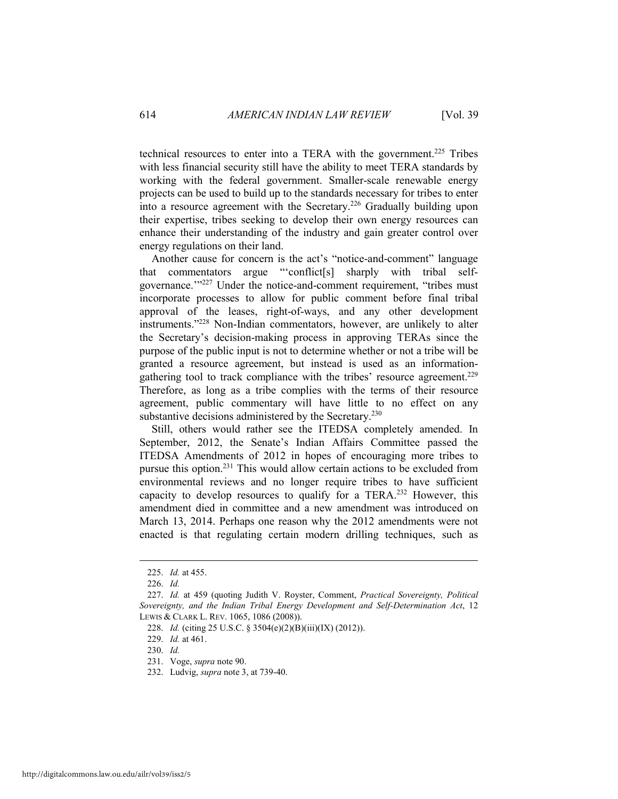technical resources to enter into a TERA with the government.<sup>225</sup> Tribes with less financial security still have the ability to meet TERA standards by working with the federal government. Smaller-scale renewable energy projects can be used to build up to the standards necessary for tribes to enter into a resource agreement with the Secretary.226 Gradually building upon their expertise, tribes seeking to develop their own energy resources can enhance their understanding of the industry and gain greater control over energy regulations on their land.

Another cause for concern is the act's "notice-and-comment" language that commentators argue "'conflict[s] sharply with tribal selfgovernance.'"227 Under the notice-and-comment requirement, "tribes must incorporate processes to allow for public comment before final tribal approval of the leases, right-of-ways, and any other development instruments."228 Non-Indian commentators, however, are unlikely to alter the Secretary's decision-making process in approving TERAs since the purpose of the public input is not to determine whether or not a tribe will be granted a resource agreement, but instead is used as an informationgathering tool to track compliance with the tribes' resource agreement.<sup>229</sup> Therefore, as long as a tribe complies with the terms of their resource agreement, public commentary will have little to no effect on any substantive decisions administered by the Secretary.<sup>230</sup>

Still, others would rather see the ITEDSA completely amended. In September, 2012, the Senate's Indian Affairs Committee passed the ITEDSA Amendments of 2012 in hopes of encouraging more tribes to pursue this option.231 This would allow certain actions to be excluded from environmental reviews and no longer require tribes to have sufficient capacity to develop resources to qualify for a TERA.232 However, this amendment died in committee and a new amendment was introduced on March 13, 2014. Perhaps one reason why the 2012 amendments were not enacted is that regulating certain modern drilling techniques, such as

 <sup>225.</sup> *Id.* at 455.

 <sup>226.</sup> *Id.*

 <sup>227.</sup> *Id.* at 459 (quoting Judith V. Royster, Comment, *Practical Sovereignty, Political Sovereignty, and the Indian Tribal Energy Development and Self-Determination Act*, 12 LEWIS & CLARK L. REV. 1065, 1086 (2008)).

 <sup>228.</sup> *Id.* (citing 25 U.S.C. § 3504(e)(2)(B)(iii)(IX) (2012)).

 <sup>229.</sup> *Id.* at 461.

 <sup>230.</sup> *Id.*

 <sup>231.</sup> Voge, *supra* note 90.

 <sup>232.</sup> Ludvig, *supra* note 3, at 739-40.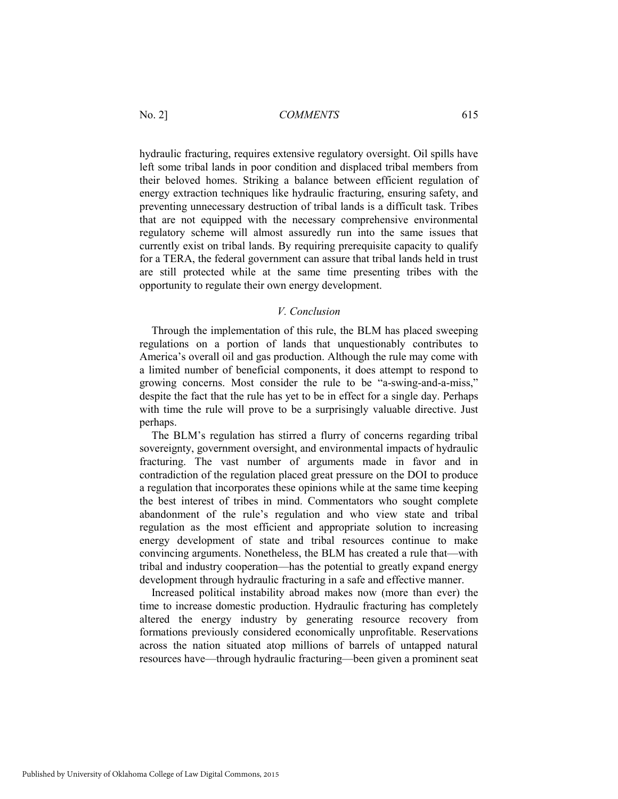hydraulic fracturing, requires extensive regulatory oversight. Oil spills have left some tribal lands in poor condition and displaced tribal members from their beloved homes. Striking a balance between efficient regulation of energy extraction techniques like hydraulic fracturing, ensuring safety, and preventing unnecessary destruction of tribal lands is a difficult task. Tribes that are not equipped with the necessary comprehensive environmental regulatory scheme will almost assuredly run into the same issues that currently exist on tribal lands. By requiring prerequisite capacity to qualify for a TERA, the federal government can assure that tribal lands held in trust are still protected while at the same time presenting tribes with the opportunity to regulate their own energy development.

#### *V. Conclusion*

Through the implementation of this rule, the BLM has placed sweeping regulations on a portion of lands that unquestionably contributes to America's overall oil and gas production. Although the rule may come with a limited number of beneficial components, it does attempt to respond to growing concerns. Most consider the rule to be "a-swing-and-a-miss," despite the fact that the rule has yet to be in effect for a single day. Perhaps with time the rule will prove to be a surprisingly valuable directive. Just perhaps.

The BLM's regulation has stirred a flurry of concerns regarding tribal sovereignty, government oversight, and environmental impacts of hydraulic fracturing. The vast number of arguments made in favor and in contradiction of the regulation placed great pressure on the DOI to produce a regulation that incorporates these opinions while at the same time keeping the best interest of tribes in mind. Commentators who sought complete abandonment of the rule's regulation and who view state and tribal regulation as the most efficient and appropriate solution to increasing energy development of state and tribal resources continue to make convincing arguments. Nonetheless, the BLM has created a rule that—with tribal and industry cooperation—has the potential to greatly expand energy development through hydraulic fracturing in a safe and effective manner.

Increased political instability abroad makes now (more than ever) the time to increase domestic production. Hydraulic fracturing has completely altered the energy industry by generating resource recovery from formations previously considered economically unprofitable. Reservations across the nation situated atop millions of barrels of untapped natural resources have—through hydraulic fracturing—been given a prominent seat